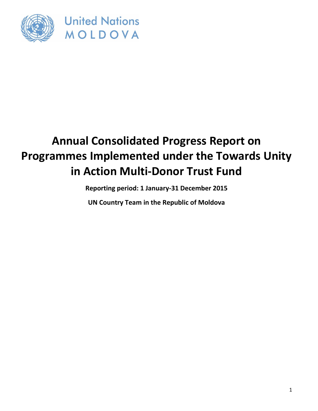

**United Nations** MOLDOVA

# **Annual Consolidated Progress Report on Programmes Implemented under the Towards Unity in Action Multi-Donor Trust Fund**

**Reporting period: 1 January-31 December 2015**

**UN Country Team in the Republic of Moldova**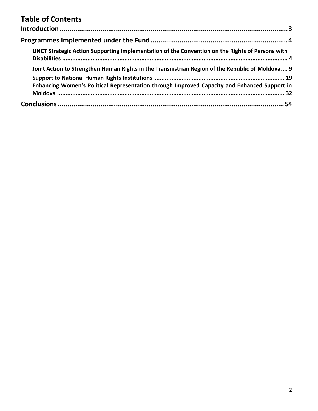# **Table of Contents**

| UNCT Strategic Action Supporting Implementation of the Convention on the Rights of Persons with  |  |
|--------------------------------------------------------------------------------------------------|--|
| Joint Action to Strengthen Human Rights in the Transnistrian Region of the Republic of Moldova 9 |  |
| Enhancing Women's Political Representation through Improved Capacity and Enhanced Support in     |  |
|                                                                                                  |  |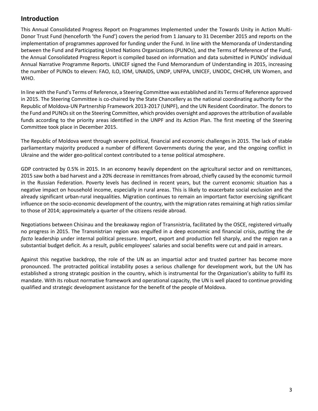# **Introduction**

This Annual Consolidated Progress Report on Programmes Implemented under the Towards Unity in Action Multi-Donor Trust Fund (henceforth 'the Fund') covers the period from 1 January to 31 December 2015 and reports on the implementation of programmes approved for funding under the Fund. In line with the Memoranda of Understanding between the Fund and Participating United Nations Organizations (PUNOs), and the Terms of Reference of the Fund, the Annual Consolidated Progress Report is compiled based on information and data submitted in PUNOs' individual Annual Narrative Programme Reports. UNICEF signed the Fund Memorandum of Understanding in 2015, increasing the number of PUNOs to eleven: FAO, ILO, IOM, UNAIDS, UNDP, UNFPA, UNICEF, UNODC, OHCHR, UN Women, and WHO.

In line with the Fund's Terms of Reference, a Steering Committee was established and its Terms of Reference approved in 2015. The Steering Committee is co-chaired by the State Chancellery as the national coordinating authority for the Republic of Moldova-UN Partnership Framework 2013-2017 (UNPF), and the UN Resident Coordinator. The donors to the Fund and PUNOs sit on the Steering Committee, which provides oversight and approves the attribution of available funds according to the priority areas identified in the UNPF and its Action Plan. The first meeting of the Steering Committee took place in December 2015.

The Republic of Moldova went through severe political, financial and economic challenges in 2015. The lack of stable parliamentary majority produced a number of different Governments during the year, and the ongoing conflict in Ukraine and the wider geo-political context contributed to a tense political atmosphere.

GDP contracted by 0.5% in 2015. In an economy heavily dependent on the agricultural sector and on remittances, 2015 saw both a bad harvest and a 20% decrease in remittances from abroad, chiefly caused by the economic turmoil in the Russian Federation. Poverty levels has declined in recent years, but the current economic situation has a negative impact on household income, especially in rural areas. This is likely to exacerbate social exclusion and the already significant urban-rural inequalities. Migration continues to remain an important factor exercising significant influence on the socio-economic development of the country, with the migration rates remaining at high ratios similar to those of 2014; approximately a quarter of the citizens reside abroad.

Negotiations between Chisinau and the breakaway region of Transnistria, facilitated by the OSCE, registered virtually no progress in 2015. The Transnistrian region was engulfed in a deep economic and financial crisis, putting the *de facto* leadership under internal political pressure. Import, export and production fell sharply, and the region ran a substantial budget deficit. As a result, public employees' salaries and social benefits were cut and paid in arrears.

Against this negative backdrop, the role of the UN as an impartial actor and trusted partner has become more pronounced. The protracted political instability poses a serious challenge for development work, but the UN has established a strong strategic position in the country, which is instrumental for the Organization's ability to fulfil its mandate. With its robust normative framework and operational capacity, the UN is well placed to continue providing qualified and strategic development assistance for the benefit of the people of Moldova.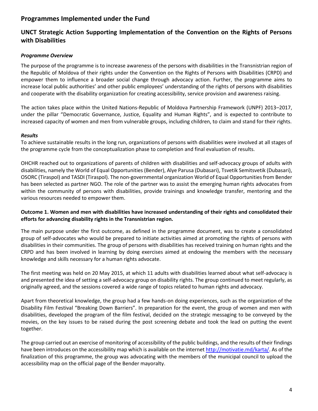# **Programmes Implemented under the Fund**

# **UNCT Strategic Action Supporting Implementation of the Convention on the Rights of Persons with Disabilities**

# *Programme Overview*

The purpose of the programme is to increase awareness of the persons with disabilities in the Transnistrian region of the Republic of Moldova of their rights under the Convention on the Rights of Persons with Disabilities (CRPD) and empower them to influence a broader social change through advocacy action. Further, the programme aims to increase local public authorities' and other public employees' understanding of the rights of persons with disabilities and cooperate with the disability organization for creating accessibility, service provision and awareness raising.

The action takes place within the United Nations-Republic of Moldova Partnership Framework (UNPF) 2013–2017, under the pillar "Democratic Governance, Justice, Equality and Human Rights", and is expected to contribute to increased capacity of women and men from vulnerable groups, including children, to claim and stand for their rights.

# *Results*

To achieve sustainable results in the long run, organizations of persons with disabilities were involved at all stages of the programme cycle from the conceptualization phase to completion and final evaluation of results.

OHCHR reached out to organizations of parents of children with disabilities and self-advocacy groups of adults with disabilities, namely the World of Equal Opportunities (Bender), Alye Parusa (Dubasari), Tsvetik Semitsvetik (Dubasari), OSORC (Tiraspol) and TASDI (Tiraspol). The non-governmental organization World of Equal Opportunities from Bender has been selected as partner NGO. The role of the partner was to assist the emerging human rights advocates from within the community of persons with disabilities, provide trainings and knowledge transfer, mentoring and the various resources needed to empower them.

# **Outcome 1. Women and men with disabilities have increased understanding of their rights and consolidated their efforts for advancing disability rights in the Transnistrian region.**

The main purpose under the first outcome, as defined in the programme document, was to create a consolidated group of self-advocates who would be prepared to initiate activities aimed at promoting the rights of persons with disabilities in their communities. The group of persons with disabilities has received training on human rights and the CRPD and has been involved in learning by doing exercises aimed at endowing the members with the necessary knowledge and skills necessary for a human rights advocate.

The first meeting was held on 20 May 2015, at which 11 adults with disabilities learned about what self-advocacy is and presented the idea of setting a self-advocacy group on disability rights. The group continued to meet regularly, as originally agreed, and the sessions covered a wide range of topics related to human rights and advocacy.

Apart from theoretical knowledge, the group had a few hands-on doing experiences, such as the organization of the Disability Film Festival "Breaking Down Barriers". In preparation for the event, the group of women and men with disabilities, developed the program of the film festival, decided on the strategic messaging to be conveyed by the movies, on the key issues to be raised during the post screening debate and took the lead on putting the event together.

The group carried out an exercise of monitoring of accessibility of the public buildings, and the results of their findings have been introduces on the accessibility map which is available on the interne[t http://motivatie.md/karta/.](http://motivatie.md/karta/) As of the finalization of this programme, the group was advocating with the members of the municipal council to upload the accessibility map on the official page of the Bender mayoralty.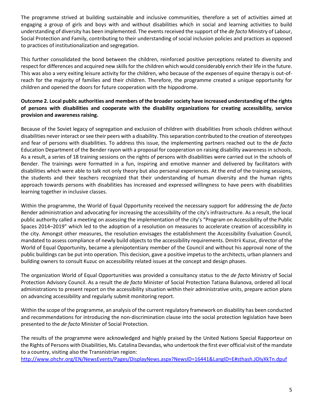The programme strived at building sustainable and inclusive communities, therefore a set of activities aimed at engaging a group of girls and boys with and without disabilities which in social and learning activities to build understanding of diversity has been implemented. The events received the support of the *de facto* Ministry of Labour, Social Protection and Family, contributing to their understanding of social inclusion policies and practices as opposed to practices of institutionalization and segregation.

This further consolidated the bond between the children, reinforced positive perceptions related to diversity and respect for differences and acquired new skills for the children which would considerably enrich their life in the future. This was also a very exiting leisure activity for the children, who because of the expenses of equine therapy is out-ofreach for the majority of families and their children. Therefore, the programme created a unique opportunity for children and opened the doors for future cooperation with the hippodrome.

# **Outcome 2. Local public authorities and members of the broader society have increased understanding of the rights of persons with disabilities and cooperate with the disability organizations for creating accessibility, service provision and awareness raising.**

Because of the Soviet legacy of segregation and exclusion of children with disabilities from schools children without disabilities never interact or see their peers with a disability. This separation contributed to the creation of stereotypes and fear of persons with disabilities. To address this issue, the implementing partners reached out to the *de facto* Education Department of the Bender rayon with a proposal for cooperation on raising disability awareness in schools. As a result, a series of 18 training sessions on the rights of persons with disabilities were carried out in the schools of Bender. The trainings were formatted in a fun, inspiring and emotive manner and delivered by facilitators with disabilities which were able to talk not only theory but also personal experiences. At the end of the training sessions, the students and their teachers recognized that their understanding of human diversity and the human rights approach towards persons with disabilities has increased and expressed willingness to have peers with disabilities learning together in inclusive classes.

Within the programme, the World of Equal Opportunity received the necessary support for addressing the *de facto* Bender administration and advocating for increasing the accessibility of the city's infrastructure. As a result, the local public authority called a meeting on assessing the implementation of the city's "Program on Accessibility of the Public Spaces 2014–2019" which led to the adoption of a resolution on measures to accelerate creation of accessibility in the city. Amongst other measures, the resolution envisages the establishment the Accessibility Evaluation Council, mandated to assess compliance of newly build objects to the accessibility requirements. Dmitrii Kuzuc, director of the World of Equal Opportunity, became a plenipotentiary member of the Council and without his approval none of the public buildings can be put into operation. This decision, gave a positive impetus to the architects, urban planners and building owners to consult Kuzuc on accessibility related issues at the concept and design phases.

The organization World of Equal Opportunities was provided a consultancy status to the *de facto* Ministry of Social Protection Advisory Council. As a result the *de facto* Minister of Social Protection Tatiana Bulanova, ordered all local administrations to present report on the accessibility situation within their administrative units, prepare action plans on advancing accessibility and regularly submit monitoring report.

Within the scope of the programme, an analysis of the current regulatory framework on disability has been conducted and recommendations for introducing the non-discrimination clause into the social protection legislation have been presented to the *de facto* Minister of Social Protection.

The results of the programme were acknowledged and highly praised by the United Nations Special Rapporteur on the Rights of Persons with Disabilities, Ms. Catalina Devandas, who undertook the first ever official visit of the mandate to a country, visiting also the Transnistrian region:

<http://www.ohchr.org/EN/NewsEvents/Pages/DisplayNews.aspx?NewsID=16441&LangID=E#sthash.JOIyXkTn.dpuf>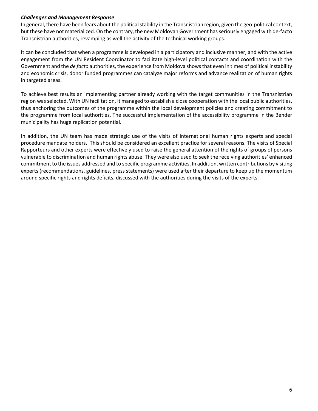#### *Challenges and Management Response*

In general, there have been fears about the political stability in the Transnistrian region, given the geo-political context, but these have not materialized. On the contrary, the new Moldovan Government has seriously engaged with de-facto Transnistrian authorities, revamping as well the activity of the technical working groups.

It can be concluded that when a programme is developed in a participatory and inclusive manner, and with the active engagement from the UN Resident Coordinator to facilitate high-level political contacts and coordination with the Government and the *de facto* authorities, the experience from Moldova shows that even in times of political instability and economic crisis, donor funded programmes can catalyze major reforms and advance realization of human rights in targeted areas.

To achieve best results an implementing partner already working with the target communities in the Transnistrian region was selected. With UN facilitation, it managed to establish a close cooperation with the local public authorities, thus anchoring the outcomes of the programme within the local development policies and creating commitment to the programme from local authorities. The successful implementation of the accessibility programme in the Bender municipality has huge replication potential.

In addition, the UN team has made strategic use of the visits of international human rights experts and special procedure mandate holders. This should be considered an excellent practice for several reasons. The visits of Special Rapporteurs and other experts were effectively used to raise the general attention of the rights of groups of persons vulnerable to discrimination and human rights abuse. They were also used to seek the receiving authorities' enhanced commitment to the issues addressed and to specific programme activities. In addition, written contributions by visiting experts (recommendations, guidelines, press statements) were used after their departure to keep up the momentum around specific rights and rights deficits, discussed with the authorities during the visits of the experts.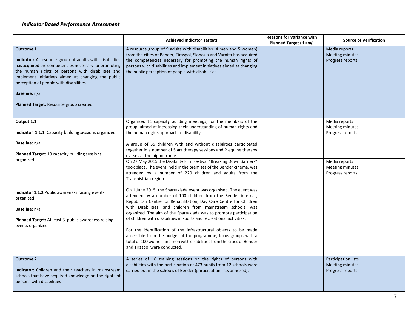# *Indicator Based Performance Assessment*

|                                                                                                                                                                                                                                                                                                                                                              | <b>Achieved Indicator Targets</b>                                                                                                                                                                                                                                                                                                           | <b>Reasons for Variance with</b><br><b>Planned Target (if any)</b> | <b>Source of Verification</b>                                     |
|--------------------------------------------------------------------------------------------------------------------------------------------------------------------------------------------------------------------------------------------------------------------------------------------------------------------------------------------------------------|---------------------------------------------------------------------------------------------------------------------------------------------------------------------------------------------------------------------------------------------------------------------------------------------------------------------------------------------|--------------------------------------------------------------------|-------------------------------------------------------------------|
| <b>Outcome 1</b><br>Indicator: A resource group of adults with disabilities<br>has acquired the competencies necessary for promoting<br>the human rights of persons with disabilities and<br>implement initiatives aimed at changing the public<br>perception of people with disabilities.<br>Baseline: n/a<br><b>Planned Target: Resource group created</b> | A resource group of 9 adults with disabilities (4 men and 5 women)<br>from the cities of Bender, Tiraspol, Slobozia and Varnita has acquired<br>the competencies necessary for promoting the human rights of<br>persons with disabilities and implement initiatives aimed at changing<br>the public perception of people with disabilities. |                                                                    | Media reports<br><b>Meeting minutes</b><br>Progress reports       |
| Output 1.1<br>Indicator 1.1.1 Capacity building sessions organized                                                                                                                                                                                                                                                                                           | Organized 11 capacity building meetings, for the members of the<br>group, aimed at increasing their understanding of human rights and<br>the human rights approach to disability.                                                                                                                                                           |                                                                    | Media reports<br>Meeting minutes<br>Progress reports              |
| Baseline: n/a<br>Planned Target: 10 capacity building sessions                                                                                                                                                                                                                                                                                               | A group of 35 children with and without disabilities participated<br>together in a number of 5 art therapy sessions and 2 equine therapy<br>classes at the hippodrome.                                                                                                                                                                      |                                                                    |                                                                   |
| organized                                                                                                                                                                                                                                                                                                                                                    | On 27 May 2015 the Disability Film Festival "Breaking Down Barriers"<br>took place. The event, held in the premises of the Bender cinema, was<br>attended by a number of 220 children and adults from the<br>Transnistrian region.                                                                                                          |                                                                    | Media reports<br>Meeting minutes<br>Progress reports              |
| Indicator 1.1.2 Public awareness raising events<br>organized                                                                                                                                                                                                                                                                                                 | On 1 June 2015, the Spartakiada event was organised. The event was<br>attended by a number of 100 children from the Bender internat,<br>Republican Centre for Rehabilitation, Day Care Centre for Children                                                                                                                                  |                                                                    |                                                                   |
| Baseline: n/a<br>Planned Target: At least 3 public awareness raising                                                                                                                                                                                                                                                                                         | with Disabilities, and children from mainstream schools, was<br>organized. The aim of the Spartakiada was to promote participation<br>of children with disabilities in sports and recreational activities.                                                                                                                                  |                                                                    |                                                                   |
| events organized                                                                                                                                                                                                                                                                                                                                             | For the identification of the infrastructural objects to be made<br>accessible from the budget of the programme, focus groups with a<br>total of 100 women and men with disabilities from the cities of Bender<br>and Tiraspol were conducted.                                                                                              |                                                                    |                                                                   |
| <b>Outcome 2</b><br>Indicator: Children and their teachers in mainstream<br>schools that have acquired knowledge on the rights of<br>persons with disabilities                                                                                                                                                                                               | A series of 18 training sessions on the rights of persons with<br>disabilities with the participation of 473 pupils from 12 schools were<br>carried out in the schools of Bender (participation lists annexed).                                                                                                                             |                                                                    | Participation lists<br><b>Meeting minutes</b><br>Progress reports |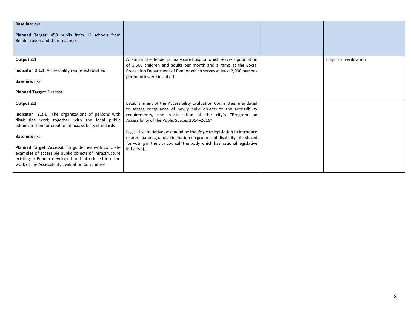| Baseline: n/a<br>Planned Target: 450 pupils from 12 schools from<br>Bender rayon and their teachers                                                                                                                         |                                                                                                                                                                                                                |                               |
|-----------------------------------------------------------------------------------------------------------------------------------------------------------------------------------------------------------------------------|----------------------------------------------------------------------------------------------------------------------------------------------------------------------------------------------------------------|-------------------------------|
| Output 2.1<br>Indicator 2.1.1 Accessibility ramps established                                                                                                                                                               | A ramp in the Bender primary care hospital which serves a population<br>of 1,500 children and adults per month and a ramp at the Social<br>Protection Department of Bender which serves at least 2,000 persons | <b>Empirical verification</b> |
| <b>Baseline:</b> n/a                                                                                                                                                                                                        | per month were installed.                                                                                                                                                                                      |                               |
| <b>Planned Target: 2 ramps</b>                                                                                                                                                                                              |                                                                                                                                                                                                                |                               |
| Output 2.2                                                                                                                                                                                                                  | Establishment of the Accessibility Evaluation Committee, mandated<br>to assess compliance of newly build objects to the accessibility                                                                          |                               |
| Indicator 2.2.1 The organizations of persons with<br>disabilities work together with the local public<br>administration for creation of accessibility standards                                                             | requirements, and revitalization of the city's "Program on<br>Accessibility of the Public Spaces 2014-2019".                                                                                                   |                               |
| Baseline: n/a                                                                                                                                                                                                               | Legislative initiative on amending the de facto legislation to introduce<br>express banning of discrimination on grounds of disability introduced                                                              |                               |
| Planned Target: Accessibility guidelines with concrete<br>examples of accessible public objects of infrastructure<br>existing in Bender developed and introduced into the<br>work of the Accessibility Evaluation Committee | for voting in the city council (the body which has national legislative<br>initiative).                                                                                                                        |                               |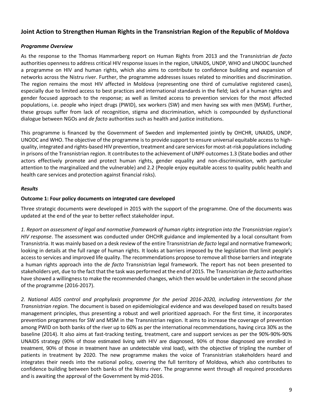# **Joint Action to Strengthen Human Rights in the Transnistrian Region of the Republic of Moldova**

# *Programme Overview*

As the response to the Thomas Hammarberg report on Human Rights from 2013 and the Transnistrian *de facto* authorities openness to address critical HIV response issues in the region, UNAIDS, UNDP, WHO and UNODC launched a programme on HIV and human rights, which also aims to contribute to confidence building and expansion of networks across the Nistru river. Further, the programme addresses issues related to minorities and discrimination. The region remains the most HIV affected in Moldova (representing one third of cumulative registered cases), especially due to limited access to best practices and international standards in the field; lack of a human rights and gender focused approach to the response; as well as limited access to prevention services for the most affected populations, i.e. people who inject drugs (PWID), sex workers (SW) and men having sex with men (MSM). Further, these groups suffer from lack of recognition, stigma and discrimination, which is compounded by dysfunctional dialogue between NGOs and *de facto* authorities such as health and justice institutions.

This programme is financed by the Government of Sweden and implemented jointly by OHCHR, UNAIDS, UNDP, UNODC and WHO. The objective of the programme is to provide support to ensure universal equitable access to highquality, integrated and rights-based HIV prevention, treatment and care services for most-at-risk populations including in prisons of the Transnistrian region. It contributes to the achievement of UNPF outcomes 1.3 (State bodies and other actors effectively promote and protect human rights, gender equality and non-discrimination, with particular attention to the marginalized and the vulnerable) and 2.2 (People enjoy equitable access to quality public health and health care services and protection against financial risks).

#### *Results*

#### **Outcome 1: Four policy documents on integrated care developed**

Three strategic documents were developed in 2015 with the support of the programme. One of the documents was updated at the end of the year to better reflect stakeholder input.

*1. Report on assessment of legal and normative framework of human rights integration into the Transnistrian region's HIV response*. The assessment was conducted under OHCHR guidance and implemented by a local consultant from Transnistria. It was mainly based on a desk review of the entire Transnistrian *de facto* legal and normative framework; looking in details at the full range of human rights. It looks at barriers imposed by the legislation that limit people's access to services and improved life quality. The recommendations propose to remove all those barriers and integrate a human rights approach into the *de facto* Transnistrian legal framework. The report has not been presented to stakeholders yet, due to the fact that the task was performed at the end of 2015. The Transnistrian *de facto* authorities have showed a willingness to make the recommended changes, which then would be undertaken in the second phase of the programme (2016-2017).

*2. National AIDS control and prophylaxis programme for the period 2016-2020, including interventions for the Transnistrian region.* The document is based on epidemiological evidence and was developed based on results based management principles, thus presenting a robust and well prioritized approach. For the first time, it incorporates prevention programmes for SW and MSM in the Transnistrian region. It aims to increase the coverage of prevention among PWID on both banks of the river up to 60% as per the international recommendations, having circa 30% as the baseline (2014). It also aims at fast-tracking testing, treatment, care and support services as per the 90%-90%-90% UNAIDS strategy (90% of those estimated living with HIV are diagnosed, 90% of those diagnosed are enrolled in treatment, 90% of those in treatment have an undetectable viral load), with the objective of tripling the number of patients in treatment by 2020. The new programme makes the voice of Transnistrian stakeholders heard and integrates their needs into the national policy, covering the full territory of Moldova, which also contributes to confidence building between both banks of the Nistru river. The programme went through all required procedures and is awaiting the approval of the Government by mid-2016.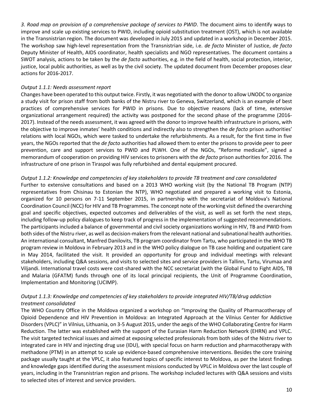*3. Road map on provision of a comprehensive package of services to PWID*. The document aims to identify ways to improve and scale up existing services to PWID, including opioid substitution treatment (OST), which is not available in the Transnistrian region. The document was developed in July 2015 and updated in a workshop in December 2015. The workshop saw high-level representation from the Transnistrian side, i.e. *de facto* Minister of Justice, *de facto* Deputy Minister of Health, AIDS coordinator, health specialists and NGO representatives. The document contains a SWOT analysis, actions to be taken by the *de facto* authorities, e.g. in the field of health, social protection, interior, justice, local public authorities, as well as by the civil society. The updated document from December proposes clear actions for 2016-2017.

#### *Output 1.1.1: Needs assessment report*

Changes have been operated to this output twice. Firstly, it was negotiated with the donor to allow UNODC to organize a study visit for prison staff from both banks of the Nistru river to Geneva, Switzerland, which is an example of best practices of comprehensive services for PWID in prisons. Due to objective reasons (lack of time, extensive organizational arrangement required) the activity was postponed for the second phase of the programme (2016- 2017). Instead of the needs assessment, it was agreed with the donor to improve health infrastructure in prisons, with the objective to improve inmates' health conditions and indirectly also to strengthen the *de facto* prison authorities' relations with local NGOs, which were tasked to undertake the refurbishments. As a result, for the first time in five years, the NGOs reported that the *de facto* authorities had allowed them to enter the prisons to provide peer to peer prevention, care and support services to PWID and PLWH. One of the NGOs, "Reforme medicale", signed a memorandum of cooperation on providing HIV services to prisoners with the *de facto* prison authorities for 2016. The infrastructure of one prison in Tiraspol was fully refurbished and dental equipment procured.

#### *Output 1.1.2: Knowledge and competencies of key stakeholders to provide TB treatment and care consolidated*

Further to extensive consultations and based on a 2013 WHO working visit (by the National TB Program (NTP) representatives from Chisinau to Estonian the NTP), WHO negotiated and prepared a working visit to Estonia, organized for 10 persons on 7-11 September 2015, in partnership with the secretariat of Moldova's National Coordination Council (NCC) for HIV and TB Programmes. The concept note of the working visit defined the overarching goal and specific objectives, expected outcomes and deliverables of the visit, as well as set forth the next steps, including follow-up policy dialogues to keep track of progress in the implementation of suggested recommendations. The participants included a balance of governmental and civil society organizations working in HIV, TB and PWID from both sides of the Nistru river, as well as decision-makers from the relevant national and subnational health authorities. An international consultant, Manfred Danilovits, TB program coordinator from Tartu, who participated in the WHO TB program review in Moldova in February 2013 and in the WHO policy dialogue on TB case holding and outpatient care in May 2014, facilitated the visit. It provided an opportunity for group and individual meetings with relevant stakeholders, including Q&A sessions, and visits to selected sites and service providers in Tallinn, Tartu, Virumaa and Viljandi. International travel costs were cost-shared with the NCC secretariat (with the Global Fund to Fight AIDS, TB and Malaria (GFATM) funds through one of its local principal recipients, the Unit of Programme Coordination, Implementation and Monitoring (UCIMP).

# *Output 1.1.3: Knowledge and competencies of key stakeholders to provide integrated HIV/TB/drug addiction treatment consolidated*

The WHO Country Office in the Moldova organized a workshop on "Improving the Quality of Pharmacotherapy of Opioid Dependence and HIV Prevention in Moldova: an Integrated Approach at the Vilnius Center for Addictive Disorders (VPLC)" in Vilnius, Lithuania, on 3-5 August 2015, under the aegis of the WHO Collaborating Centre for Harm Reduction. The latter was established with the support of the Eurasian Harm Reduction Network (EHRN) and VPLC. The visit targeted technical issues and aimed at exposing selected professionals from both sides of the Nistru river to integrated care in HIV and injecting drug use (IDU), with special focus on harm reduction and pharmacotherapy with methadone (PTM) in an attempt to scale up evidence-based comprehensive interventions. Besides the core training package usually taught at the VPLC, it also featured topics of specific interest to Moldova, as per the latest findings and knowledge gaps identified during the assessment missions conducted by VPLC in Moldova over the last couple of years, including in the Transnistrian region and prisons. The workshop included lectures with Q&A sessions and visits to selected sites of interest and service providers.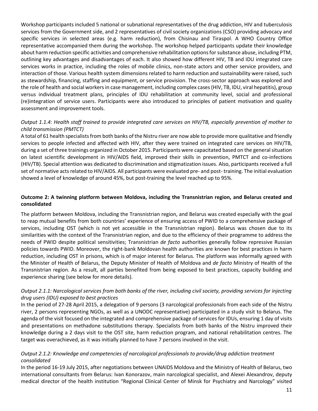Workshop participants included 5 national or subnational representatives of the drug addiction, HIV and tuberculosis services from the Government side, and 2 representatives of civil society organizations (CSO) providing advocacy and specific services in selected areas (e.g. harm reduction), from Chisinau and Tiraspol. A WHO Country Office representative accompanied them during the workshop. The workshop helped participants update their knowledge about harm reduction specific activities and comprehensive rehabilitation options for substance abuse, including PTM, outlining key advantages and disadvantages of each. It also showed how different HIV, TB and IDU integrated care services works in practice, including the roles of mobile clinics, non-state actors and other service providers, and interaction of those. Various health system dimensions related to harm reduction and sustainability were raised, such as stewardship, financing, staffing and equipment, or service provision. The cross-sector approach was explored and the role of health and social workers in case management, including complex cases (HIV, TB, IDU, viral hepatitis), group versus individual treatment plans, principles of IDU rehabilitation at community level, social and professional (re)integration of service users. Participants were also introduced to principles of patient motivation and quality assessment and improvement tools.

# *Output 1.1.4: Health staff trained to provide integrated care services on HIV/TB, especially prevention of mother to child transmission (PMTCT)*

A total of 61 health specialists from both banks of the Nistru river are now able to provide more qualitative and friendly services to people infected and affected with HIV, after they were trained on integrated care services on HIV/TB, during a set of three trainings organized in October 2015. Participants were capacitated based on the general situation on latest scientific development in HIV/AIDS field, improved their skills in prevention, PMTCT and co-infections (HIV/TB). Special attention was dedicated to discrimination and stigmatization issues. Also, participants received a full set of normative acts related to HIV/AIDS. All participants were evaluated pre- and post- training. The initial evaluation showed a level of knowledge of around 45%, but post-training the level reached up to 95%.

#### **Outcome 2: A twinning platform between Moldova, including the Transnistrian region, and Belarus created and consolidated**

The platform between Moldova, including the Transnistrian region, and Belarus was created especially with the goal to reap mutual benefits from both countries' experience of ensuring access of PWID to a comprehensive package of services, including OST (which is not yet accessible in the Transnistrian region). Belarus was chosen due to its similarities with the context of the Transnistrian region, and due to the efficiency of their programme to address the needs of PWID despite political sensitivities; Transnistrian *de facto* authorities generally follow repressive Russian policies towards PWID. Moreover, the right-bank Moldovan health authorities are known for best practices in harm reduction, including OST in prisons, which is of major interest for Belarus. The platform was informally agreed with the Minister of Health of Belarus, the Deputy Minister of Health of Moldova and *de facto* Ministry of Health of the Transnistrian region. As a result, all parties benefited from being exposed to best practices, capacity building and experience sharing (see below for more details).

# *Output 2.1.1: Narcological services from both banks of the river, including civil society, providing services for injecting drug users (IDU) exposed to best practices*

In the period of 27-28 April 2015, a delegation of 9 persons (3 narcological professionals from each side of the Nistru river, 2 persons representing NGOs, as well as a UNODC representative) participated in a study visit to Belarus. The agenda of the visit focused on the integrated and comprehensive package of services for IDUs, ensuring 1 day of visits and presentations on methadone substitutions therapy. Specialists from both banks of the Nistru improved their knowledge during a 2 days visit to the OST site, harm reduction program, and national rehabilitation centres. The target was overachieved, as it was initially planned to have 7 persons involved in the visit.

#### *Output 2.1.2: Knowledge and competencies of narcological professionals to provide/drug addiction treatment consolidated*

In the period 16-19 July 2015, after negotiations between UNAIDS Moldova and the Ministry of Health of Belarus, two international consultants from Belarus: Ivan Konorazov, main narcological specialist, and Alexei Alexandrov, deputy medical director of the health institution "Regional Clinical Center of Minsk for Psychiatry and Narcology" visited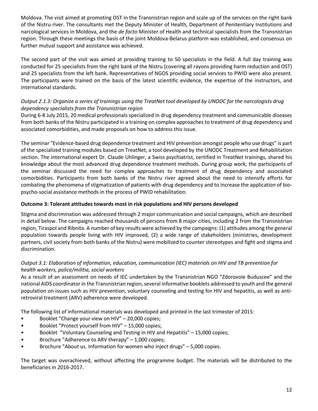Moldova. The visit aimed at promoting OST in the Transnistrian region and scale up of the services on the right bank of the Nistru river. The consultants met the Deputy Minister of Health, Department of Penitentiary Institutions and narcological services in Moldova, and the *de facto* Minister of Health and technical specialists from the Transnistrian region. Through these meetings the basis of the joint Moldova-Belarus platform was established, and consensus on further mutual support and assistance was achieved.

The second part of the visit was aimed at providing training to 50 specialists in the field. A full day training was conducted for 25 specialists from the right bank of the Nistru (covering all rayons providing harm reduction and OST) and 25 specialists from the left bank. Representatives of NGOS providing social services to PWID were also present. The participants were trained on the basis of the latest scientific evidence, the expertise of the instructors, and international standards.

# *Output 2.1.3: Organize a series of trainings using the TreatNet tool developed by UNODC for the narcologists drug dependency specialists from the Transnistrian region*

During 6-8 July 2015, 20 medical professionals specialized in drug dependency treatment and communicable diseases from both banks of the Nistru participated in a training on complex approaches to treatment of drug dependency and associated comorbidities, and made proposals on how to address this issue.

The seminar "Evidence-based drug dependence treatment and HIV prevention amongst people who use drugs" is part of the specialized training modules based on TreatNet, a tool developed by the UNODC Treatment and Rehabilitation section. The international expert Dr. Claude Uhlinger, a Swiss psychiatrist, certified in TreatNet trainings, shared his knowledge about the most advanced drug dependence treatment methods. During group work, the participants of the seminar discussed the need for complex approaches to treatment of drug dependency and associated comorbidities. Participants from both banks of the Nistru river agreed about the need to intensify efforts for combating the phenomena of stigmatization of patients with drug dependency and to increase the application of biopsycho-social assistance methods in the process of PWID rehabilitation.

# **Outcome 3: Tolerant attitudes towards most in risk populations and HIV persons developed**

Stigma and discrimination was addressed through 2 major communication and social campaigns, which are described in detail below. The campaigns reached thousands of persons from 8 major cities, including 2 from the Transnistrian region, Tiraspol and Ribnita. A number of key results were achieved by the campaigns: (1) attitudes among the general population towards people living with HIV improved, (2) a wide range of stakeholders (ministries, development partners, civil society from both banks of the Nistru) were mobilized to counter stereotypes and fight and stigma and discrimination.

# *Output 3.1: Elaboration of information, education, communication (IEC) materials on HIV and TB prevention for health workers, police/militia, social workers*

As a result of an assessment on needs of IEC undertaken by the Transnistrian NGO "Zdorovoie Buduscee" and the national AIDS coordinator in the Transnistrian region, several informative booklets addressed to youth and the general population on issues such as HIV prevention, voluntary counseling and testing for HIV and hepatitis, as well as antiretroviral treatment (ARV) adherence were developed.

The following list of informational materials was developed and printed in the last trimester of 2015:

- Booklet "Change your view on HIV" 20,000 copies;
- Booklet "Protect yourself from HIV" 15,000 copies;
- Booklet "Voluntary Counseling and Testing in HIV and Hepatitis" 15,000 copies;
- Brochure "Adherence to ARV therapy" 1,000 copies;
- Brochure "About us. Information for women who inject drugs" 5,000 copies.

The target was overachieved, without affecting the programme budget. The materials will be distributed to the beneficiaries in 2016-2017.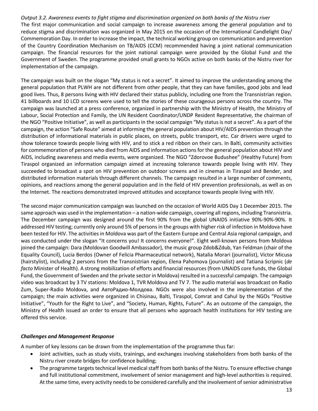*Output 3.2. Awareness events to fight stigma and discrimination organized on both banks of the Nistru river*  The first major communication and social campaign to increase awareness among the general population and to reduce stigma and discrimination was organized in May 2015 on the occasion of the International Candlelight Day/ Commemoration Day. In order to increase the impact, the technical working group on communication and prevention of the Country Coordination Mechanism on TB/AIDS (CCM) recommended having a joint national communication campaign. The financial resources for the joint national campaign were provided by the Global Fund and the Government of Sweden. The programme provided small grants to NGOs active on both banks of the Nistru river for implementation of the campaign.

The campaign was built on the slogan "My status is not a secret". It aimed to improve the understanding among the general population that PLWH are not different from other people, that they can have families, good jobs and lead good lives. Thus, 8 persons living with HIV declared their status publicly, including one from the Transnistrian region. 41 billboards and 10 LCD screens were used to tell the stories of these courageous persons across the country. The campaign was launched at a press conference, organized in partnership with the Ministry of Health, the Ministry of Labour, Social Protection and Family, the UN Resident Coordinator/UNDP Resident Representative, the chairman of the NGO "Positive Initiative", as well as participants in the social campaign "My status is not a secret". As a part of the campaign, the action "Safe Route" aimed at informing the general population about HIV/AIDS prevention through the distribution of informational materials in public places, on streets, public transport, etc. Car drivers were urged to show tolerance towards people living with HIV, and to stick a red ribbon on their cars. In Balti, community activities for commemoration of persons who died from AIDS and information actions for the general population about HIV and AIDS, including awareness and media events, were organized. The NGO "Zdorovoe Budushee" (Healthy Future) from Tiraspol organized an information campaign aimed at increasing tolerance towards people living with HIV. They succeeded to broadcast a spot on HIV prevention on outdoor screens and in cinemas in Tiraspol and Bender, and distributed information materials through different channels. The campaign resulted in a large number of comments, opinions, and reactions among the general population and in the field of HIV prevention professionals, as well as on the Internet. The reactions demonstrated improved attitudes and acceptance towards people living with HIV.

The second major communication campaign was launched on the occasion of World AIDS Day 1 December 2015. The same approach was used in the implementation – a nation-wide campaign, covering all regions, including Transnistria. The December campaign was designed around the first 90% from the global UNAIDS initiative 90%-90%-90%. It addressed HIV testing; currently only around 5% of persons in the groups with higher risk of infection in Moldova have been tested for HIV. The activities in Moldova was part of the Eastern Europe and Central Asia regional campaign, and was conducted under the slogan "It concerns you! It concerns everyone!". Eight well-known persons from Moldova joined the campaign: Dara (Moldovan Goodwill Ambassador), the music group Zdob&Zdub, Yan Feldman (chair of the Equality Council), Lucia Berdos (Owner of Felicia Pharmaceutical network), Natalia Morari (journalist), Victor Micusa (hairstylist), including 2 persons from the Transnistrian region, Elena Pahomova (journalist) and Tatiana Scripnic (*de facto* Minister of Health). A strong mobilization of efforts and financial resources (from UNAIDS core funds, the Global Fund, the Government of Sweden and the private sector in Moldova) resulted in a successful campaign. The campaign video was broadcast by 3 TV stations: Moldova 1, TVR Moldova and TV 7. The audio material was broadcast on Radio Zum, Super-Radio Moldova, and АвтоРадио-Молдова. NGOs were also involved in the implementation of the campaign; the main activities were organized in Chisinau, Balti, Tiraspol, Comrat and Cahul by the NGOs "Positive Initiative", "Youth for the Right to Live", and "Society, Human, Rights, Future". As an outcome of the campaign, the Ministry of Health issued an order to ensure that all persons who approach health institutions for HIV testing are offered this service.

# *Challenges and Management Response*

A number of key lessons can be drawn from the implementation of the programme thus far:

- Joint activities, such as study visits, trainings, and exchanges involving stakeholders from both banks of the Nistru river create bridges for confidence building;
- The programme targets technical level medical staff from both banks of the Nistru. To ensure effective change and full institutional commitment, involvement of senior management and high-level authorities is required. At the same time, every activity needs to be considered carefully and the involvement of senior administrative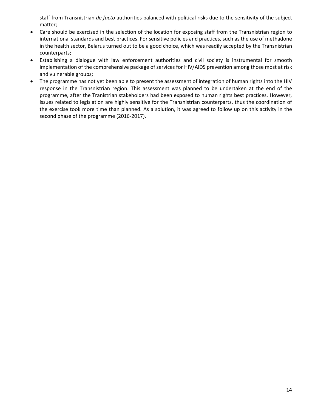staff from Transnistrian *de facto* authorities balanced with political risks due to the sensitivity of the subject matter;

- Care should be exercised in the selection of the location for exposing staff from the Transnistrian region to international standards and best practices. For sensitive policies and practices, such as the use of methadone in the health sector, Belarus turned out to be a good choice, which was readily accepted by the Transnistrian counterparts;
- Establishing a dialogue with law enforcement authorities and civil society is instrumental for smooth implementation of the comprehensive package of services for HIV/AIDS prevention among those most at risk and vulnerable groups;
- The programme has not yet been able to present the assessment of integration of human rights into the HIV response in the Transnistrian region. This assessment was planned to be undertaken at the end of the programme, after the Tranistrian stakeholders had been exposed to human rights best practices. However, issues related to legislation are highly sensitive for the Transnistrian counterparts, thus the coordination of the exercise took more time than planned. As a solution, it was agreed to follow up on this activity in the second phase of the programme (2016-2017).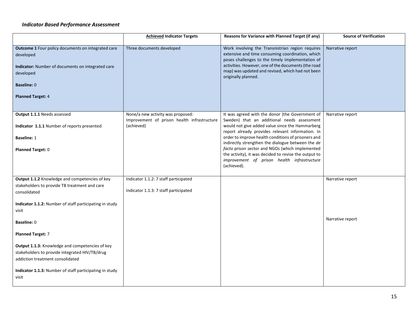#### *Indicator Based Performance Assessment*

|                                                                                                                                                                                                           | <b>Achieved Indicator Targets</b>                                                              | Reasons for Variance with Planned Target (if any)                                                                                                                                                                                                                                                                                                                                                                                                                                           | <b>Source of Verification</b> |
|-----------------------------------------------------------------------------------------------------------------------------------------------------------------------------------------------------------|------------------------------------------------------------------------------------------------|---------------------------------------------------------------------------------------------------------------------------------------------------------------------------------------------------------------------------------------------------------------------------------------------------------------------------------------------------------------------------------------------------------------------------------------------------------------------------------------------|-------------------------------|
| Outcome 1 Four policy documents on integrated care<br>developed<br>Indicator: Number of documents on integrated care<br>developed<br><b>Baseline: 0</b><br><b>Planned Target: 4</b>                       | Three documents developed                                                                      | Work involving the Transnistrian region requires<br>extensive and time consuming coordination, which<br>poses challenges to the timely implementation of<br>activities. However, one of the documents (the road<br>map) was updated and revised, which had not been<br>originally planned.                                                                                                                                                                                                  | Narrative report              |
| Output 1.1.1 Needs assessed<br>Indicator 1.1.1 Number of reports presented<br><b>Baseline: 1</b><br>Planned Target: 0                                                                                     | None/a new activity was proposed:<br>Improvement of prison health infrastructure<br>(achieved) | It was agreed with the donor (the Government of<br>Sweden) that an additional needs assessment<br>would not give added value since the Hammarberg<br>report already provides relevant information. In<br>order to improve health conditions of prisoners and<br>indirectly strengthen the dialogue between the de<br>facto prison sector and NGOs (which implemented<br>the activity), it was decided to revise the output to<br>improvement of prison health infrastructure<br>(achieved). | Narrative report              |
| Output 1.1.2 Knowledge and competencies of key<br>stakeholders to provide TB treatment and care<br>consolidated<br>Indicator 1.1.2: Number of staff participating in study<br>visit                       | Indicator 1.1.2: 7 staff participated<br>Indicator 1.1.3: 7 staff participated                 |                                                                                                                                                                                                                                                                                                                                                                                                                                                                                             | Narrative report              |
| <b>Baseline: 0</b><br><b>Planned Target: 7</b>                                                                                                                                                            |                                                                                                |                                                                                                                                                                                                                                                                                                                                                                                                                                                                                             | Narrative report              |
| Output 1.1.3: Knowledge and competencies of key<br>stakeholders to provide integrated HIV/TB/drug<br>addiction treatment consolidated<br>Indicator 1.1.3: Number of staff participating in study<br>visit |                                                                                                |                                                                                                                                                                                                                                                                                                                                                                                                                                                                                             |                               |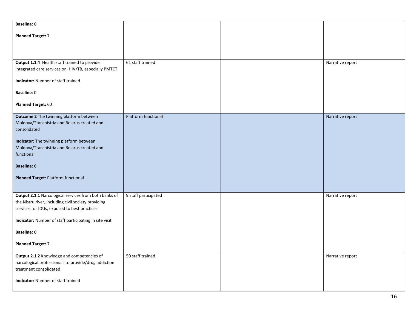| <b>Baseline: 0</b>                                                                                 |                      |                  |
|----------------------------------------------------------------------------------------------------|----------------------|------------------|
| <b>Planned Target: 7</b>                                                                           |                      |                  |
|                                                                                                    |                      |                  |
|                                                                                                    |                      |                  |
| Output 1.1.4 Health staff trained to provide                                                       | 61 staff trained     | Narrative report |
| integrated care services on HIV/TB, especially PMTCT                                               |                      |                  |
| Indicator: Number of staff trained                                                                 |                      |                  |
| Baseline: 0                                                                                        |                      |                  |
|                                                                                                    |                      |                  |
| Planned Target: 60                                                                                 |                      |                  |
| Outcome 2 The twinning platform between                                                            | Platform functional  | Narrative report |
| Moldova/Transnistria and Belarus created and                                                       |                      |                  |
| consolidated                                                                                       |                      |                  |
| Indicator: The twinning platform between                                                           |                      |                  |
| Moldova/Transnistria and Belarus created and<br>functional                                         |                      |                  |
|                                                                                                    |                      |                  |
| <b>Baseline: 0</b>                                                                                 |                      |                  |
| Planned Target: Platform functional                                                                |                      |                  |
|                                                                                                    |                      |                  |
| Output 2.1.1 Narcological services from both banks of                                              | 9 staff participated | Narrative report |
| the Nistru river, including civil society providing                                                |                      |                  |
| services for IDUs, exposed to best practices                                                       |                      |                  |
| Indicator: Number of staff participating in site visit                                             |                      |                  |
| <b>Baseline: 0</b>                                                                                 |                      |                  |
| <b>Planned Target: 7</b>                                                                           |                      |                  |
|                                                                                                    |                      |                  |
| Output 2.1.2 Knowledge and competencies of<br>narcological professionals to provide/drug addiction | 50 staff trained     | Narrative report |
| treatment consolidated                                                                             |                      |                  |
|                                                                                                    |                      |                  |
| Indicator: Number of staff trained                                                                 |                      |                  |
|                                                                                                    |                      |                  |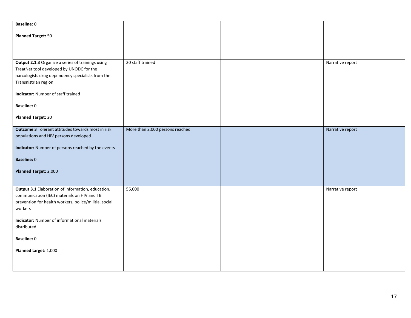| Baseline: 0                                                                                                                                                                |                                 |                  |
|----------------------------------------------------------------------------------------------------------------------------------------------------------------------------|---------------------------------|------------------|
| <b>Planned Target: 50</b>                                                                                                                                                  |                                 |                  |
|                                                                                                                                                                            |                                 |                  |
| Output 2.1.3 Organize a series of trainings using<br>TreatNet tool developed by UNODC for the<br>narcologists drug dependency specialists from the<br>Transnistrian region | 20 staff trained                | Narrative report |
| Indicator: Number of staff trained                                                                                                                                         |                                 |                  |
| Baseline: 0                                                                                                                                                                |                                 |                  |
| <b>Planned Target: 20</b>                                                                                                                                                  |                                 |                  |
| <b>Outcome 3 Tolerant attitudes towards most in risk</b><br>populations and HIV persons developed                                                                          | More than 2,000 persons reached | Narrative report |
| Indicator: Number of persons reached by the events                                                                                                                         |                                 |                  |
| <b>Baseline: 0</b>                                                                                                                                                         |                                 |                  |
| Planned Target: 2,000                                                                                                                                                      |                                 |                  |
|                                                                                                                                                                            |                                 |                  |
| Output 3.1 Elaboration of information, education,<br>communication (IEC) materials on HIV and TB<br>prevention for health workers, police/militia, social<br>workers       | 56,000                          | Narrative report |
| <b>Indicator:</b> Number of informational materials<br>distributed                                                                                                         |                                 |                  |
| Baseline: 0                                                                                                                                                                |                                 |                  |
| Planned target: 1,000                                                                                                                                                      |                                 |                  |
|                                                                                                                                                                            |                                 |                  |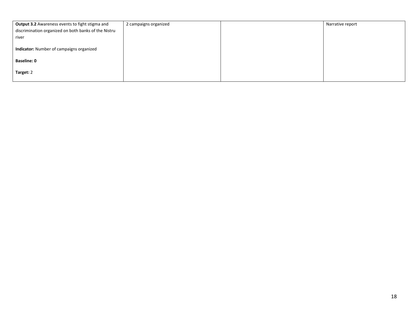| Output 3.2 Awareness events to fight stigma and      | 2 campaigns organized | Narrative report |
|------------------------------------------------------|-----------------------|------------------|
| discrimination organized on both banks of the Nistru |                       |                  |
| river                                                |                       |                  |
| Indicator: Number of campaigns organized             |                       |                  |
| <b>Baseline: 0</b>                                   |                       |                  |
| Target: 2                                            |                       |                  |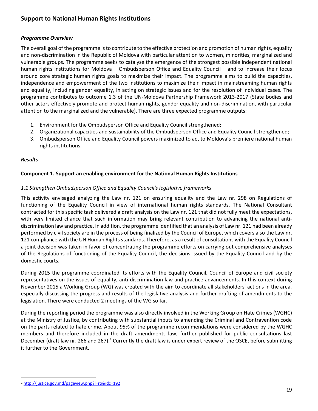# **Support to National Human Rights Institutions**

#### *Programme Overview*

The overall goal of the programme is to contribute to the effective protection and promotion of human rights, equality and non-discrimination in the Republic of Moldova with particular attention to women, minorities, marginalized and vulnerable groups. The programme seeks to catalyse the emergence of the strongest possible independent national human rights institutions for Moldova – Ombudsperson Office and Equality Council – and to increase their focus around core strategic human rights goals to maximize their impact. The programme aims to build the capacities, independence and empowerment of the two institutions to maximize their impact in mainstreaming human rights and equality, including gender equality, in acting on strategic issues and for the resolution of individual cases. The programme contributes to outcome 1.3 of the UN-Moldova Partnership Framework 2013-2017 (State bodies and other actors effectively promote and protect human rights, gender equality and non-discrimination, with particular attention to the marginalized and the vulnerable). There are three expected programme outputs:

- 1. Environment for the Ombudsperson Office and Equality Council strengthened;
- 2. Organizational capacities and sustainability of the Ombudsperson Office and Equality Council strengthened;
- 3. Ombudsperson Office and Equality Council powers maximized to act to Moldova's premiere national human rights institutions.

#### *Results*

# **Component 1. Support an enabling environment for the National Human Rights Institutions**

#### *1.1 Strengthen Ombudsperson Office and Equality Council's legislative frameworks*

This activity envisaged analyzing the Law nr. 121 on ensuring equality and the Law nr. 298 on Regulations of functioning of the Equality Council in view of international human rights standards. The National Consultant contracted for this specific task delivered a draft analysis on the Law nr. 121 that did not fully meet the expectations, with very limited chance that such information may bring relevant contribution to advancing the national antidiscrimination law and practice. In addition, the programme identified that an analysis of Law nr. 121 had been already performed by civil society are in the process of being finalized by the Council of Europe, which covers also the Law nr. 121 compliance with the UN Human Rights standards. Therefore, as a result of consultations with the Equality Council a joint decision was taken in favor of concentrating the programme efforts on carrying out comprehensive analyses of the Regulations of functioning of the Equality Council, the decisions issued by the Equality Council and by the domestic courts.

During 2015 the programme coordinated its efforts with the Equality Council, Council of Europe and civil society representatives on the issues of equality, anti-discrimination law and practice advancements. In this context during November 2015 a Working Group (WG) was created with the aim to coordinate all stakeholders' actions in the area, especially discussing the progress and results of the legislative analysis and further drafting of amendments to the legislation. There were conducted 2 meetings of the WG so far.

During the reporting period the programme was also directly involved in the Working Group on Hate Crimes (WGHC) at the Ministry of Justice, by contributing with substantial inputs to amending the Criminal and Contravention code on the parts related to hate crime. About 95% of the programme recommendations were considered by the WGHC members and therefore included in the draft amendments law, further published for public consultations last December (draft law nr. 266 and 267).<sup>1</sup> Currently the draft law is under expert review of the OSCE, before submitting it further to the Government.

 $\overline{a}$ <sup>1</sup> <http://justice.gov.md/pageview.php?l=ro&idc=192>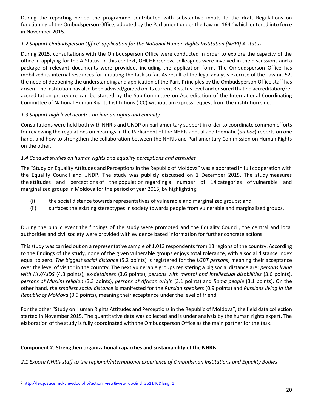During the reporting period the programme contributed with substantive inputs to the draft Regulations on functioning of the Ombudsperson Office, adopted by the Parliament under the Law nr.  $164<sup>2</sup>$  which entered into force in November 2015.

# *1.2 Support Ombudsperson Office' application for the National Human Rights Institution (NHRI) A-status*

During 2015, consultations with the Ombudsperson Office were conducted in order to explore the capacity of the office in applying for the A-Status. In this context, OHCHR Geneva colleagues were involved in the discussions and a package of relevant documents were provided, including the application form. The Ombudsperson Office has mobilized its internal resources for initiating the task so far. As result of the legal analysis exercise of the Law nr. 52, the need of deepening the understanding and application of the Paris Principles by the Ombudsperson Office staff has arisen. The institution has also been advised/guided on its current B-status level and ensured that no accreditation/reaccreditation procedure can be started by the Sub-Committee on Accreditation of the International Coordinating Committee of National Human Rights Institutions (ICC) without an express request from the institution side.

# *1.3 Support high level debates on human rights and equality*

Consultations were held both with NHRIs and UNDP on parliamentary support in order to coordinate common efforts for reviewing the regulations on hearings in the Parliament of the NHRIs annual and thematic (*ad hoc*) reports on one hand, and how to strengthen the collaboration between the NHRIs and Parliamentary Commission on Human Rights on the other.

#### *1.4 Conduct studies on human rights and equality perceptions and attitudes*

The "Study on Equality Attitudes and Perceptions in the Republic of Moldova" was elaborated in full cooperation with the Equality Council and UNDP. The study was publicly discussed on 1 December 2015. The study measures the attitudes and perceptions of the population regarding a number of 14 categories of vulnerable and marginalized groups in Moldova for the period of year 2015, by highlighting:

- (i) the social distance towards representatives of vulnerable and marginalized groups; and
- (ii) surfaces the existing stereotypes in society towards people from vulnerable and marginalized groups.

During the public event the findings of the study were promoted and the Equality Council, the central and local authorities and civil society were provided with evidence based information for further concrete actions.

This study was carried out on a representative sample of 1,013 respondents from 13 regions of the country. According to the findings of the study, none of the given vulnerable groups enjoys total tolerance, with a social distance index equal to zero. *The biggest social distance* (5.2 points) is registered for the *LGBT persons*, meaning their acceptance over the level of visitor in the country. The next vulnerable groups registering a big social distance are: *persons living with HIV/AIDS* (4.3 points), *ex-detainees* (3.6 points), *persons with mental and intellectual disabilities* (3.6 points), *persons of Muslim religion* (3.3 points), *persons of African origin* (3.1 points) and *Roma people* (3.1 points). On the other hand, *the smallest social distance* is manifested for the *Russian speakers* (0.9 points) and *Russians living in the Republic of Moldova* (0.9 points), meaning their acceptance under the level of friend.

For the other "Study on Human Rights Attitudes and Perceptions in the Republic of Moldova", the field data collection started in November 2015. The quantitative data was collected and is under analysis by the human rights expert. The elaboration of the study is fully coordinated with the Ombudsperson Office as the main partner for the task.

#### **Component 2. Strengthen organizational capacities and sustainability of the NHRIs**

*2.1 Expose NHRIs staff to the regional/international experience of Ombudsman Institutions and Equality Bodies*

 $\overline{a}$ 

<sup>2</sup> <http://lex.justice.md/viewdoc.php?action=view&view=doc&id=361146&lang=1>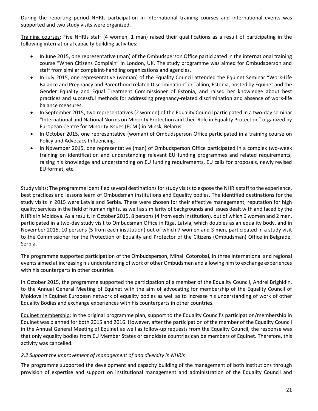During the reporting period NHRIs participation in international training courses and international events was supported and two study visits were organized.

Training courses: Five NHRIs staff (4 women, 1 man) raised their qualifications as a result of participating in the following international capacity building activities:

- In June 2015, one representative (man) of the Ombudsperson Office participated in the international training course "When Citizens Complain" in London, UK. The study programme was aimed for Ombudsperson and staff from similar complaint-handling organizations and agencies.
- In July 2015, one representative (woman) of the Equality Council attended the Equinet Seminar "Work-Life Balance and Pregnancy and Parenthood related Discrimination" in Tallinn, Estonia, hosted by Equinet and the Gender Equality and Equal Treatment Commissioner of Estonia, and raised her knowledge about best practices and successful methods for addressing pregnancy-related discrimination and absence of work-life balance measures.
- In September 2015, two representatives (2 women) of the Equality Council participated in a two-day seminar "International and National Norms on Minority Protection and their Role in Equality Protection" organized by European Centre for Minority Issues (ECMI) in Minsk, Belarus.
- In October 2015, one representative (woman) of Ombudsperson Office participated in a training course on Policy and Advocacy Influencing.
- In November 2015, one representative (man) of Ombudsperson Office participated in a complex two-week training on identification and understanding relevant EU funding programmes and related requirements, raising his knowledge and understanding on EU funding requirements, EU calls for proposals, newly revised EU format, etc.

Study visits: The programme identified several destinations for study visits to expose the NHRIs staff to the experience, best practices and lessons learn of Ombudsman institutions and Equality bodies. The identified destinations for the study visits in 2015 were Latvia and Serbia. These were chosen for their effective management, reputation for high quality services in the field of human rights, as well as similarity of backgrounds and issues dealt with and faced by the NHRIs in Moldova. As a result, in October 2015, 8 persons (4 from each institution), out of which 6 women and 2 men, participated in a two-day study visit to Ombudsman Office in Riga, Latvia, which doubles as an equality body, and in November 2015, 10 persons (5 from each institution) out of which 7 women and 3 men, participated in a study visit to the Commissioner for the Protection of Equality and Protector of the Citizens (Ombudsman) Office in Belgrade, Serbia.

The programme supported participation of the Ombudsperson, Mihail Cotorobai, in three international and regional events aimed at increasing his understanding of work of other Ombudsmen and allowing him to exchange experiences with his counterparts in other countries.

In October 2015, the programme supported the participation of a member of the Equality Council, Andrei Brighidin, to the Annual General Meeting of Equinet with the aim of advocating for membership of the Equality Council of Moldova in Equinet European network of equality bodies as well as to increase his understanding of work of other Equality Bodies and exchange experiences with his counterparts in other countries.

Equinet membership: In the original programme plan, support to the Equality Council's participation/membership in Equinet was planned for both 2015 and 2016. However, after the participation of the member of the Equality Council in the Annual General Meeting of Equinet as well as follow-up requests from the Equality Council, the response was that only equality bodies from EU Member States or candidate countries can be members of Equinet. Therefore, this activity was cancelled.

# *2.2 Support the improvement of management of and diversity in NHRIs*

The programme supported the development and capacity building of the management of both institutions through provision of expertise and support on institutional management and administration of the Equality Council and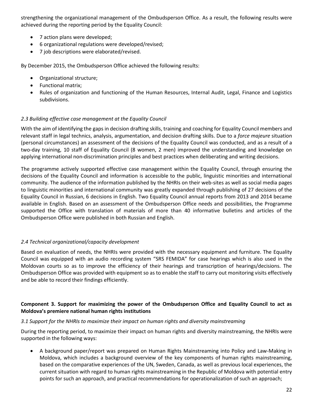strengthening the organizational management of the Ombudsperson Office. As a result, the following results were achieved during the reporting period by the Equality Council:

- 7 action plans were developed;
- 6 organizational regulations were developed/revised;
- 7 job descriptions were elaborated/revised.

By December 2015, the Ombudsperson Office achieved the following results:

- Organizational structure;
- Functional matrix;
- Rules of organization and functioning of the Human Resources, Internal Audit, Legal, Finance and Logistics subdivisions.

# *2.3 Building effective case management at the Equality Council*

With the aim of identifying the gaps in decision drafting skills, training and coaching for Equality Council members and relevant staff in legal technics, analysis, argumentation, and decision drafting skills. Due to a *force majeure* situation (personal circumstances) an assessment of the decisions of the Equality Council was conducted, and as a result of a two-day training, 10 staff of Equality Council (8 women, 2 men) improved the understanding and knowledge on applying international non-discrimination principles and best practices when deliberating and writing decisions.

The programme actively supported effective case management within the Equality Council, through ensuring the decisions of the Equality Council and information is accessible to the public, linguistic minorities and international community. The audience of the information published by the NHRIs on their web-sites as well as social media pages to linguistic minorities and international community was greatly expanded through publishing of 27 decisions of the Equality Council in Russian, 6 decisions in English. Two Equality Council annual reports from 2013 and 2014 became available in English. Based on an assessment of the Ombudsperson Office needs and possibilities, the Programme supported the Office with translation of materials of more than 40 informative bulletins and articles of the Ombudsperson Office were published in both Russian and English.

# *2.4 Technical organizational/capacity development*

Based on evaluation of needs, the NHRIs were provided with the necessary equipment and furniture. The Equality Council was equipped with an audio recording system "SRS FEMIDA" for case hearings which is also used in the Moldovan courts so as to improve the efficiency of their hearings and transcription of hearings/decisions. The Ombudsperson Office was provided with equipment so as to enable the staff to carry out monitoring visits effectively and be able to record their findings efficiently.

# **Component 3. Support for maximizing the power of the Ombudsperson Office and Equality Council to act as Moldova's premiere national human rights institutions**

# *3.1 Support for the NHRIs to maximize their impact on human rights and diversity mainstreaming*

During the reporting period, to maximize their impact on human rights and diversity mainstreaming, the NHRIs were supported in the following ways:

 A background paper/report was prepared on Human Rights Mainstreaming into Policy and Law-Making in Moldova, which includes a background overview of the key components of human rights mainstreaming, based on the comparative experiences of the UN, Sweden, Canada, as well as previous local experiences, the current situation with regard to human rights mainstreaming in the Republic of Moldova with potential entry points for such an approach, and practical recommendations for operationalization of such an approach;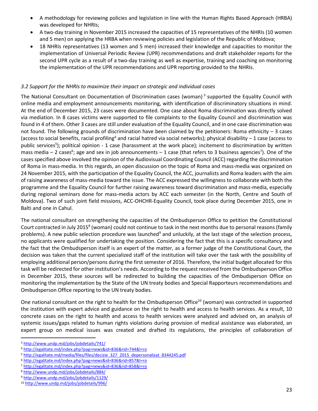- A methodology for reviewing policies and legislation in line with the Human Rights Based Approach (HRBA) was developed for NHRIs;
- A two-day training in November 2015 increased the capacities of 15 representatives of the NHRIs (10 women and 5 men) on applying the HRBA when reviewing policies and legislation of the Republic of Moldova;
- 18 NHRIs representatives (13 women and 5 men) increased their knowledge and capacities to monitor the implementation of Universal Periodic Review (UPR) recommendations and draft stakeholder reports for the second UPR cycle as a result of a two-day training as well as expertise, training and coaching on monitoring the implementation of the UPR recommendations and UPR reporting provided to the NHRIs.

# *3.2 Support for the NHRIs to maximize their impact on strategic and individual cases*

The National Consultant on Documentation of Discrimination cases (woman)<sup>3</sup> supported the Equality Council with online media and employment announcements monitoring, with identification of discriminatory situations in mind. At the end of December 2015, 23 cases were documented. One case about Roma discrimination was directly solved via mediation. In 8 cases victims were supported to file complaints to the Equality Council and discrimination was found in 4 of them. Other 3 cases are still under evaluation of the Equality Council, and in one case discrimination was not found. The following grounds of discrimination have been claimed by the petitioners: Roma ethnicity  $-3$  cases (access to social benefits, racial profiling<sup>4</sup> and racial hatred via social networks); physical disability  $-1$  case (access to public services<sup>5</sup>); political opinion - 1 case (harassment at the work place); incitement to discrimination by written mass media – 2 cases<sup>6</sup>; age and sex in job announcements – 1 case (that refers to 3 business agencies<sup>7</sup>). One of the cases specified above involved the opinion of the Audiovisual Coordinating Council (ACC) regarding the discrimination of Roma in mass-media. In this regards, an open discussion on the topic of Roma and mass-media was organized on 24 November 2015, with the participation of the Equality Council, the ACC, journalists and Roma leaders with the aim of raising awareness of mass-media toward the issue. The ACC expressed the willingness to collaborate with both the programme and the Equality Council for further raising awareness toward discrimination and mass-media, especially during regional seminars done for mass-media actors by ACC each semester (in the North, Centre and South of Moldova). Two of such joint field missions, ACC-OHCHR-Equality Council, took place during December 2015, one in Balti and one in Cahul.

The national consultant on strengthening the capacities of the Ombudsperson Office to petition the Constitutional Court contracted in July 2015<sup>8</sup> (woman) could not continue to task in the next months due to personal reasons (family problems). A new public selection procedure was launched<sup>9</sup> and unluckily, at the last stage of the selection process, no applicants were qualified for undertaking the position. Considering the fact that this is a specific consultancy and the fact that the Ombudsperson itself is an expert of the matter, as a former judge of the Constitutional Court, the decision was taken that the current specialized staff of the institution will take over the task with the possibility of employing additional person/persons during the first semester of 2016. Therefore, the initial budget allocated for this task will be redirected for other institution's needs. According to the request received from the Ombudsperson Office in December 2015, these sources will be redirected to building the capacities of the Ombudsperson Office on monitoring the implementation by the State of the UN treaty bodies and Special Rapporteurs recommendations and Ombudsperson Office reporting to the UN treaty bodies.

One national consultant on the right to health for the Ombudsperson Office<sup>10</sup> (woman) was contracted in supported the institution with expert advice and guidance on the right to health and access to health services. As a result, 10 concrete cases on the right to health and access to health services were analyzed and advised on, an analysis of systemic issues/gaps related to human rights violations during provision of medical assistance was elaborated, an expert group on medical issues was created and drafted its regulations, the principles of collaboration of

 $\overline{a}$ 

<sup>3</sup> <http://www.undp.md/jobs/jobdetails/741/>

<sup>4</sup> <http://egalitate.md/index.php?pag=news&id=836&rid=744&l=ro>

<sup>&</sup>lt;sup>5</sup> [http://egalitate.md/media/files/files/decizie\\_327\\_2015\\_depersonalizat\\_8344245.pdf](http://egalitate.md/media/files/files/decizie_327_2015_depersonalizat_8344245.pdf)

<sup>6</sup> <http://egalitate.md/index.php?pag=news&id=836&rid=857&l=ro>

<sup>7</sup> <http://egalitate.md/index.php?pag=news&id=836&rid=858&l=ro>

<sup>8</sup> <http://www.undp.md/jobs/jobdetails/884/>

<sup>9</sup> <http://www.undp.md/jobs/jobdetails/1129/>

<sup>10</sup> <http://www.undp.md/jobs/jobdetails/996/>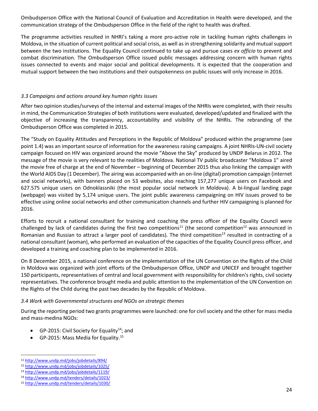Ombudsperson Office with the National Council of Evaluation and Accreditation in Health were developed, and the communication strategy of the Ombudsperson Office in the field of the right to health was drafted.

The programme activities resulted in NHRI's taking a more pro-active role in tackling human rights challenges in Moldova, in the situation of current political and social crisis, as well as in strengthening solidarity and mutual support between the two institutions. The Equality Council continued to take up and pursue cases *ex officio* to prevent and combat discrimination. The Ombudsperson Office issued public messages addressing concern with human rights issues connected to events and major social and political developments. It is expected that the cooperation and mutual support between the two institutions and their outspokenness on public issues will only increase in 2016.

# *3.3 Campaigns and actions around key human rights issues*

After two opinion studies/surveys of the internal and external images of the NHRIs were completed, with their results in mind, the Communication Strategies of both institutions were evaluated, developed/updated and finalized with the objective of increasing the transparency, accountability and visibility of the NHRIs. The rebranding of the Ombudsperson Office was completed in 2015.

The "Study on Equality Attitudes and Perceptions in the Republic of Moldova" produced within the programme (see point 1.4) was an important source of information for the awareness raising campaigns. A joint NHRIs-UN-civil society campaign focused on HIV was organized around the movie "Above the Sky" produced by UNDP Belarus in 2012. The message of the movie is very relevant to the realities of Moldova. National TV public broadcaster "Moldova 1" aired the movie free of charge at the end of November – beginning of December 2015 thus also linking the campaign with the World AIDS Day (1 December). The airing was accompanied with an on-line (digital) promotion campaign (internet and social networks), with banners placed on 53 websites, also reaching 157,277 unique users on Facebook and 627.575 unique users on Odnoklassniki (the most popular social network in Moldova). A bi-lingual landing page (webpage) was visited by 5,174 unique users. The joint public awareness campaigning on HIV issues proved to be effective using online social networks and other communication channels and further HIV campaigning is planned for 2016.

Efforts to recruit a national consultant for training and coaching the press officer of the Equality Council were challenged by lack of candidates during the first two competitions<sup>11</sup> (the second competition<sup>12</sup> was announced in Romanian and Russian to attract a larger pool of candidates). The third competition<sup>13</sup> resulted in contracting of a national consultant (woman), who performed an evaluation of the capacities of the Equality Council press officer, and developed a training and coaching plan to be implemented in 2016.

On 8 December 2015, a national conference on the implementation of the UN Convention on the Rights of the Child in Moldova was organized with joint efforts of the Ombudsperson Office, UNDP and UNICEF and brought together 150 participants, representatives of central and local government with responsibility for children's rights, civil society representatives. The conference brought media and public attention to the implementation of the UN Convention on the Rights of the Child during the past two decades by the Republic of Moldova.

# *3.4 Work with Governmental structures and NGOs on strategic themes*

During the reporting period two grants programmes were launched: one for civil society and the other for mass media and mass-medina NGOs:

- GP-2015: Civil Society for Equality<sup>14</sup>; and
- GP-2015: Mass Media for Equality.<sup>15</sup>

 $\overline{a}$ <sup>11</sup> <http://www.undp.md/jobs/jobdetails/894/>

<sup>12</sup> <http://www.undp.md/jobs/jobdetails/1025/>

<sup>13</sup> <http://www.undp.md/jobs/jobdetails/1119/>

<sup>14</sup> <http://www.undp.md/tenders/details/1023/>

<sup>15</sup> <http://www.undp.md/tenders/details/1030/>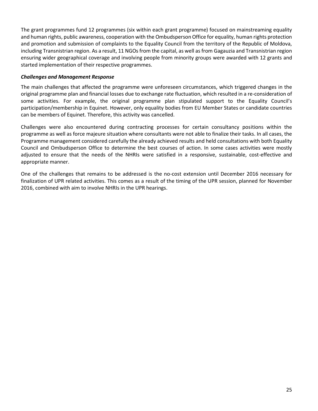The grant programmes fund 12 programmes (six within each grant programme) focused on mainstreaming equality and human rights, public awareness, cooperation with the Ombudsperson Office for equality, human rights protection and promotion and submission of complaints to the Equality Council from the territory of the Republic of Moldova, including Transnistrian region. As a result, 11 NGOs from the capital, as well as from Gagauzia and Transnistrian region ensuring wider geographical coverage and involving people from minority groups were awarded with 12 grants and started implementation of their respective programmes.

#### *Challenges and Management Response*

The main challenges that affected the programme were unforeseen circumstances, which triggered changes in the original programme plan and financial losses due to exchange rate fluctuation, which resulted in a re-consideration of some activities. For example, the original programme plan stipulated support to the Equality Council's participation/membership in Equinet. However, only equality bodies from EU Member States or candidate countries can be members of Equinet. Therefore, this activity was cancelled.

Challenges were also encountered during contracting processes for certain consultancy positions within the programme as well as force majeure situation where consultants were not able to finalize their tasks. In all cases, the Programme management considered carefully the already achieved results and held consultations with both Equality Council and Ombudsperson Office to determine the best courses of action. In some cases activities were mostly adjusted to ensure that the needs of the NHRIs were satisfied in a responsive, sustainable, cost-effective and appropriate manner.

One of the challenges that remains to be addressed is the no-cost extension until December 2016 necessary for finalization of UPR related activities. This comes as a result of the timing of the UPR session, planned for November 2016, combined with aim to involve NHRIs in the UPR hearings.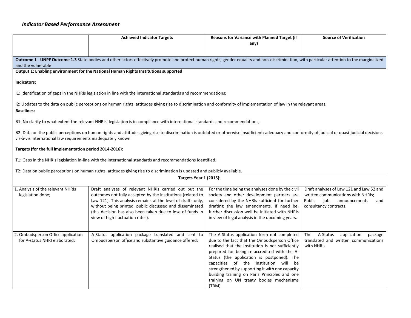#### *Indicator Based Performance Assessment*

|                                                                  | <b>Achieved Indicator Targets</b>                                                                                                                                                                                                                                                                                                                 | Reasons for Variance with Planned Target (if<br>any)                                                                                                                                                                                                                                                                                                                                                                                             | <b>Source of Verification</b>                                                                                                                     |
|------------------------------------------------------------------|---------------------------------------------------------------------------------------------------------------------------------------------------------------------------------------------------------------------------------------------------------------------------------------------------------------------------------------------------|--------------------------------------------------------------------------------------------------------------------------------------------------------------------------------------------------------------------------------------------------------------------------------------------------------------------------------------------------------------------------------------------------------------------------------------------------|---------------------------------------------------------------------------------------------------------------------------------------------------|
|                                                                  |                                                                                                                                                                                                                                                                                                                                                   |                                                                                                                                                                                                                                                                                                                                                                                                                                                  |                                                                                                                                                   |
| and the vulnerable                                               | Outcome 1 - UNPF Outcome 1.3 State bodies and other actors effectively promote and protect human rights, gender equality and non-discrimination, with particular attention to the marginalized                                                                                                                                                    |                                                                                                                                                                                                                                                                                                                                                                                                                                                  |                                                                                                                                                   |
|                                                                  | Output 1: Enabling environment for the National Human Rights Institutions supported                                                                                                                                                                                                                                                               |                                                                                                                                                                                                                                                                                                                                                                                                                                                  |                                                                                                                                                   |
| Indicators:                                                      |                                                                                                                                                                                                                                                                                                                                                   |                                                                                                                                                                                                                                                                                                                                                                                                                                                  |                                                                                                                                                   |
|                                                                  | 11: Identification of gaps in the NHRIs legislation in line with the international standards and recommendations;                                                                                                                                                                                                                                 |                                                                                                                                                                                                                                                                                                                                                                                                                                                  |                                                                                                                                                   |
| <b>Baselines:</b>                                                | I2: Updates to the data on public perceptions on human rights, attitudes giving rise to discrimination and conformity of implementation of law in the relevant areas.                                                                                                                                                                             |                                                                                                                                                                                                                                                                                                                                                                                                                                                  |                                                                                                                                                   |
|                                                                  | B1: No clarity to what extent the relevant NHRIs' legislation is in compliance with international standards and recommendations;                                                                                                                                                                                                                  |                                                                                                                                                                                                                                                                                                                                                                                                                                                  |                                                                                                                                                   |
| vis-à-vis international law requirements inadequately known.     | B2: Data on the public perceptions on human rights and attitudes giving rise to discrimination is outdated or otherwise insufficient; adequacy and conformity of judicial or quasi-judicial decisions                                                                                                                                             |                                                                                                                                                                                                                                                                                                                                                                                                                                                  |                                                                                                                                                   |
| Targets (for the full implementation period 2014-2016):          |                                                                                                                                                                                                                                                                                                                                                   |                                                                                                                                                                                                                                                                                                                                                                                                                                                  |                                                                                                                                                   |
|                                                                  | T1: Gaps in the NHRIs legislation in-line with the international standards and recommendations identified;                                                                                                                                                                                                                                        |                                                                                                                                                                                                                                                                                                                                                                                                                                                  |                                                                                                                                                   |
|                                                                  | T2: Data on public perceptions on human rights, attitudes giving rise to discrimination is updated and publicly available.                                                                                                                                                                                                                        |                                                                                                                                                                                                                                                                                                                                                                                                                                                  |                                                                                                                                                   |
|                                                                  | Targets Year 1 (2015):                                                                                                                                                                                                                                                                                                                            |                                                                                                                                                                                                                                                                                                                                                                                                                                                  |                                                                                                                                                   |
| 1. Analysis of the relevant NHRIs<br>legislation done;           | Draft analyses of relevant NHRIs carried out but the<br>outcomes not fully accepted by the institutions (related to<br>Law 121). This analysis remains at the level of drafts only,<br>without being printed, public discussed and disseminated<br>(this decision has also been taken due to lose of funds in<br>view of high fluctuation rates). | For the time being the analyses done by the civil<br>society and other development partners are<br>considered by the NHRIs sufficient for further<br>drafting the law amendments. If need be,<br>further discussion well be initiated with NHRIs<br>in view of legal analysis in the upcoming years.                                                                                                                                             | Draft analyses of Law 121 and Law 52 and<br>written communications with NHRIs;<br>Public<br>iob<br>announcements<br>and<br>consultancy contracts. |
| Ombudsperson Office application<br>for A-status NHRI elaborated; | A-Status application package translated and sent to<br>Ombudsperson office and substantive guidance offered;                                                                                                                                                                                                                                      | The A-Status application form not completed<br>due to the fact that the Ombudsperson Office<br>realised that the institution is not sufficiently<br>prepared for being re-accredited with the A-<br>Status (the application is postponed). The<br>capacities of the institution will be<br>strengthened by supporting it with one capacity<br>building training on Paris Principles and one<br>training on UN treaty bodies mechanisms<br>(TBM). | A-Status<br>application<br>The<br>package<br>translated and written communications<br>with NHRIs.                                                 |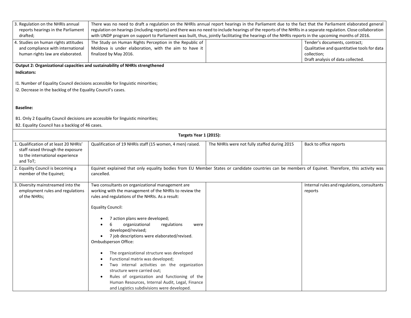| 3. Regulation on the NHRIs annual<br>reports hearings in the Parliament<br>drafted;                                                | There was no need to draft a regulation on the NHRIs annual report hearings in the Parliament due to the fact that the Parliament elaborated general<br>regulation on hearings (including reports) and there was no need to include hearings of the reports of the NHRIs in a separate regulation. Close collaboration<br>with UNDP program on support to Parliament was built, thus, jointly facilitating the hearings of the NHRIs reports in the upcoming months of 2016.                                                                                                                                                                                                             |                                              |                                                                                                                                  |  |
|------------------------------------------------------------------------------------------------------------------------------------|------------------------------------------------------------------------------------------------------------------------------------------------------------------------------------------------------------------------------------------------------------------------------------------------------------------------------------------------------------------------------------------------------------------------------------------------------------------------------------------------------------------------------------------------------------------------------------------------------------------------------------------------------------------------------------------|----------------------------------------------|----------------------------------------------------------------------------------------------------------------------------------|--|
| 4. Studies on human rights attitudes<br>and compliance with international<br>human rights law are elaborated.                      | The Study on Human Rights Perception in the Republic of<br>Moldova is under elaboration, with the aim to have it<br>finalized by May 2016.                                                                                                                                                                                                                                                                                                                                                                                                                                                                                                                                               |                                              | Tender's documents, contract;<br>Qualitative and quantitative tools for data<br>collection;<br>Draft analysis of data collected. |  |
| Indicators:                                                                                                                        | Output 2: Organizational capacities and sustainability of NHRIs strengthened                                                                                                                                                                                                                                                                                                                                                                                                                                                                                                                                                                                                             |                                              |                                                                                                                                  |  |
|                                                                                                                                    | I1. Number of Equality Council decisions accessible for linguistic minorities;<br>I2. Decrease in the backlog of the Equality Council's cases.                                                                                                                                                                                                                                                                                                                                                                                                                                                                                                                                           |                                              |                                                                                                                                  |  |
| <b>Baseline:</b>                                                                                                                   |                                                                                                                                                                                                                                                                                                                                                                                                                                                                                                                                                                                                                                                                                          |                                              |                                                                                                                                  |  |
| B1. Only 2 Equality Council decisions are accessible for linguistic minorities;<br>B2. Equality Council has a backlog of 46 cases. |                                                                                                                                                                                                                                                                                                                                                                                                                                                                                                                                                                                                                                                                                          |                                              |                                                                                                                                  |  |
|                                                                                                                                    | <b>Targets Year 1 (2015):</b>                                                                                                                                                                                                                                                                                                                                                                                                                                                                                                                                                                                                                                                            |                                              |                                                                                                                                  |  |
| 1. Qualification of at least 20 NHRIs'<br>staff raised through the exposure<br>to the international experience<br>and ToT;         | Qualification of 19 NHRIs staff (15 women, 4 men) raised.                                                                                                                                                                                                                                                                                                                                                                                                                                                                                                                                                                                                                                | The NHRIs were not fully staffed during 2015 | Back to office reports                                                                                                           |  |
| 2. Equality Council is becoming a<br>member of the Equinet;                                                                        | Equinet explained that only equality bodies from EU Member States or candidate countries can be members of Equinet. Therefore, this activity was<br>cancelled.                                                                                                                                                                                                                                                                                                                                                                                                                                                                                                                           |                                              |                                                                                                                                  |  |
| 3. Diversity mainstreamed into the<br>employment rules and regulations<br>of the NHRIs;                                            | Two consultants on organizational management are<br>working with the management of the NHRIs to review the<br>rules and regulations of the NHRIs. As a result:<br><b>Equality Council:</b><br>7 action plans were developed;<br>organizational<br>regulations<br>6<br>were<br>developed/revised;<br>7 job descriptions were elaborated/revised.<br>Ombudsperson Office:<br>The organizational structure was developed<br>Functional matrix was developed;<br>Two internal activities on the organization<br>structure were carried out;<br>Rules of organization and functioning of the<br>Human Resources, Internal Audit, Legal, Finance<br>and Logistics subdivisions were developed. |                                              | Internal rules and regulations, consultants<br>reports                                                                           |  |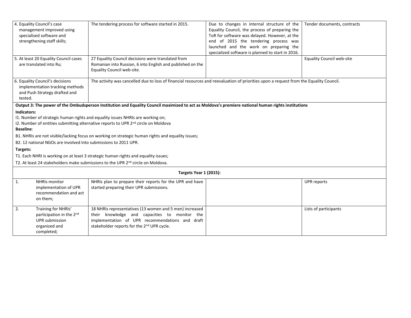|                                                                                                   | 4. Equality Council's case<br>management improved using                            | The tendering process for software started in 2015.                                                                                                | Due to changes in internal structure of the<br>Equality Council, the process of preparing the | Tender documents, contracts      |
|---------------------------------------------------------------------------------------------------|------------------------------------------------------------------------------------|----------------------------------------------------------------------------------------------------------------------------------------------------|-----------------------------------------------------------------------------------------------|----------------------------------|
|                                                                                                   | specialised software and                                                           |                                                                                                                                                    | ToR for software was delayed. However, at the                                                 |                                  |
|                                                                                                   | strengthening staff skills;                                                        |                                                                                                                                                    | end of 2015 the tendering process was                                                         |                                  |
|                                                                                                   |                                                                                    |                                                                                                                                                    | launched and the work on preparing the                                                        |                                  |
|                                                                                                   |                                                                                    |                                                                                                                                                    | specialized software is planned to start in 2016.                                             |                                  |
|                                                                                                   | 5. At least 20 Equality Council cases                                              | 27 Equality Council decisions were translated from                                                                                                 |                                                                                               | <b>Equality Council web-site</b> |
|                                                                                                   | are translated into Ru;                                                            | Romanian into Russian, 6 into English and published on the                                                                                         |                                                                                               |                                  |
|                                                                                                   |                                                                                    | Equality Council web-site.                                                                                                                         |                                                                                               |                                  |
|                                                                                                   | 6. Equality Council's decisions                                                    | The activity was cancelled due to loss of financial resources and reevaluation of priorities upon a request from the Equality Council.             |                                                                                               |                                  |
|                                                                                                   | implementation tracking methods                                                    |                                                                                                                                                    |                                                                                               |                                  |
|                                                                                                   | and Push Strategy drafted and                                                      |                                                                                                                                                    |                                                                                               |                                  |
| tested.                                                                                           |                                                                                    |                                                                                                                                                    |                                                                                               |                                  |
|                                                                                                   |                                                                                    | Output 3: The power of the Ombudsperson Institution and Equality Council maximized to act as Moldova's premiere national human rights institutions |                                                                                               |                                  |
| Indicators:                                                                                       |                                                                                    |                                                                                                                                                    |                                                                                               |                                  |
|                                                                                                   |                                                                                    | I1. Number of strategic human rights and equality issues NHRIs are working on;                                                                     |                                                                                               |                                  |
|                                                                                                   |                                                                                    | 12. Number of entities submitting alternative reports to UPR 2 <sup>nd</sup> circle on Moldova                                                     |                                                                                               |                                  |
|                                                                                                   | <b>Baseline:</b>                                                                   |                                                                                                                                                    |                                                                                               |                                  |
| B1. NHRIs are not visible/lacking focus on working on strategic human rights and equality issues; |                                                                                    |                                                                                                                                                    |                                                                                               |                                  |
| B2. 12 national NGOs are involved into submissions to 2011 UPR.                                   |                                                                                    |                                                                                                                                                    |                                                                                               |                                  |
| Targets:                                                                                          |                                                                                    |                                                                                                                                                    |                                                                                               |                                  |
|                                                                                                   | T1. Each NHRI is working on at least 3 strategic human rights and equality issues; |                                                                                                                                                    |                                                                                               |                                  |
|                                                                                                   |                                                                                    | T2. At least 24 stakeholders make submissions to the UPR 2 <sup>nd</sup> circle on Moldova.                                                        |                                                                                               |                                  |
|                                                                                                   |                                                                                    | <b>Targets Year 1 (2015):</b>                                                                                                                      |                                                                                               |                                  |
| 1.                                                                                                | <b>NHRIs monitor</b>                                                               | NHRIs plan to prepare their reports for the UPR and have                                                                                           |                                                                                               | <b>UPR</b> reports               |
|                                                                                                   | implementation of UPR                                                              | started preparing their UPR submissions.                                                                                                           |                                                                                               |                                  |
|                                                                                                   | recommendation and act                                                             |                                                                                                                                                    |                                                                                               |                                  |
|                                                                                                   | on them;                                                                           |                                                                                                                                                    |                                                                                               |                                  |
| 2.                                                                                                | Training for NHRIs'                                                                | 18 NHRIs representatives (13 women and 5 men) increased                                                                                            |                                                                                               | Lists of participants            |
|                                                                                                   | participation in the 2nd                                                           | their knowledge and capacities to monitor the                                                                                                      |                                                                                               |                                  |
|                                                                                                   | UPR submission                                                                     | implementation of UPR recommendations and draft                                                                                                    |                                                                                               |                                  |
|                                                                                                   | organized and                                                                      | stakeholder reports for the 2 <sup>nd</sup> UPR cycle.                                                                                             |                                                                                               |                                  |
|                                                                                                   | completed;                                                                         |                                                                                                                                                    |                                                                                               |                                  |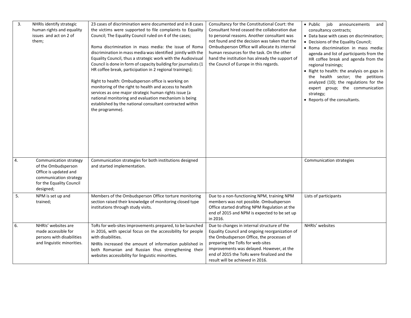| 3. | NHRIs identify strategic<br>human rights and equality<br>issues and act on 2 of<br>them;                                                  | 23 cases of discrimination were documented and in 8 cases<br>the victims were supported to file complaints to Equality<br>Council; The Equality Council ruled on 4 of the cases;<br>Roma discrimination in mass media: the issue of Roma<br>discrimination in mass media was identified jointly with the<br>Equality Council, thus a strategic work with the Audiovisual<br>Council is done in form of capacity building for journalists (1<br>HR coffee break, participation in 2 regional trainings);<br>Right to health: Ombudsperson office is working on<br>monitoring of the right to health and access to health<br>services as one major strategic human rights issue (a<br>national monitoring and evaluation mechanism is being<br>established by the national consultant contracted within<br>the programme). | Consultancy for the Constitutional Court: the<br>Consultant hired ceased the collaboration due<br>to personal reasons. Another consultant was<br>not found and the decision was taken that the<br>Ombudsperson Office will allocate its internal<br>human resources for the task. On the other<br>hand the institution has already the support of<br>the Council of Europe in this regards. | • Public<br>job<br>announcements<br>and<br>consultancy contracts;<br>• Data base with cases on discrimination;<br>• Decisions of the Equality Council;<br>· Roma discrimination in mass media:<br>agenda and list of participants from the<br>HR coffee break and agenda from the<br>regional trainings;<br>• Right to health: the analysis on gaps in<br>the health sector; the petitions<br>analyzed (10); the regulations for the<br>expert group; the communication<br>strategy;<br>• Reports of the consultants. |
|----|-------------------------------------------------------------------------------------------------------------------------------------------|--------------------------------------------------------------------------------------------------------------------------------------------------------------------------------------------------------------------------------------------------------------------------------------------------------------------------------------------------------------------------------------------------------------------------------------------------------------------------------------------------------------------------------------------------------------------------------------------------------------------------------------------------------------------------------------------------------------------------------------------------------------------------------------------------------------------------|---------------------------------------------------------------------------------------------------------------------------------------------------------------------------------------------------------------------------------------------------------------------------------------------------------------------------------------------------------------------------------------------|-----------------------------------------------------------------------------------------------------------------------------------------------------------------------------------------------------------------------------------------------------------------------------------------------------------------------------------------------------------------------------------------------------------------------------------------------------------------------------------------------------------------------|
| 4. | Communication strategy<br>of the Ombudsperson<br>Office is updated and<br>communication strategy<br>for the Equality Council<br>designed; | Communication strategies for both institutions designed<br>and started implementation.                                                                                                                                                                                                                                                                                                                                                                                                                                                                                                                                                                                                                                                                                                                                   |                                                                                                                                                                                                                                                                                                                                                                                             | Communication strategies                                                                                                                                                                                                                                                                                                                                                                                                                                                                                              |
| 5. | NPM is set up and<br>trained;                                                                                                             | Members of the Ombudsperson Office torture monitoring<br>section raised their knowledge of monitoring closed type<br>institutions through study visits.                                                                                                                                                                                                                                                                                                                                                                                                                                                                                                                                                                                                                                                                  | Due to a non-functioning NPM, training NPM<br>members was not possible. Ombudsperson<br>Office started drafting NPM Regulation at the<br>end of 2015 and NPM is expected to be set up<br>in 2016.                                                                                                                                                                                           | Lists of participants                                                                                                                                                                                                                                                                                                                                                                                                                                                                                                 |
| 6. | NHRIs' websites are<br>made accessible for<br>persons with disabilities<br>and linguistic minorities.                                     | ToRs for web-sites improvements prepared, to be launched<br>in 2016, with special focus on the accessibility for people<br>with disabilities.<br>NHRIs increased the amount of information published in<br>both Romanian and Russian thus strengthening their<br>websites accessibility for linguistic minorities.                                                                                                                                                                                                                                                                                                                                                                                                                                                                                                       | Due to changes in internal structure of the<br>Equality Council and ongoing reorganization of<br>the Ombudsperson Office, the processes of<br>preparing the ToRs for web-sites<br>improvements was delayed. However, at the<br>end of 2015 the ToRs were finalized and the<br>result will be achieved in 2016.                                                                              | NHRIs' websites                                                                                                                                                                                                                                                                                                                                                                                                                                                                                                       |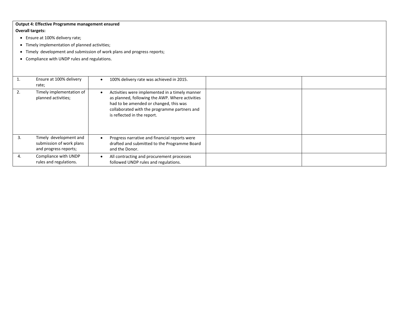#### **Output 4: Effective Programme management ensured Overall targets:**

- Ensure at 100% delivery rate;
- Timely implementation of planned activities;
- Timely development and submission of work plans and progress reports;
- Compliance with UNDP rules and regulations.

|    | Ensure at 100% delivery<br>rate;                                            | 100% delivery rate was achieved in 2015.                                                                                                                                                                                   |
|----|-----------------------------------------------------------------------------|----------------------------------------------------------------------------------------------------------------------------------------------------------------------------------------------------------------------------|
| z. | Timely implementation of<br>planned activities;                             | Activities were implemented in a timely manner<br>as planned, following the AWP. Where activities<br>had to be amended or changed, this was<br>collaborated with the programme partners and<br>is reflected in the report. |
| 3. | Timely development and<br>submission of work plans<br>and progress reports; | Progress narrative and financial reports were<br>drafted and submitted to the Programme Board<br>and the Donor.                                                                                                            |
| 4. | Compliance with UNDP<br>rules and regulations.                              | All contracting and procurement processes<br>followed UNDP rules and regulations.                                                                                                                                          |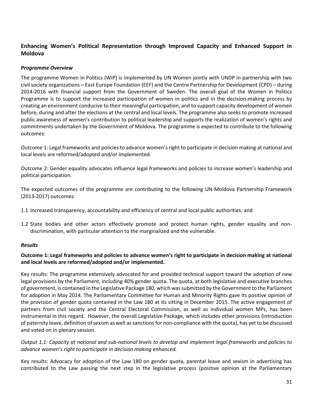# **Enhancing Women's Political Representation through Improved Capacity and Enhanced Support in Moldova**

#### *Programme Overview*

The programme Women in Politics (WiP) is implemented by UN Women jointly with UNDP in partnership with two civil society organizations – East Europe Foundation (EEF) and the Centre Partnership for Development (CPD) – during 2014-2016 with financial support from the Government of Sweden. The overall goal of the Women in Politics Programme is to support the increased participation of women in politics and in the decision-making process by creating an environment conducive to their meaningful participation, and to support capacity development of women before, during and after the elections at the central and local levels. The programme also seeks to promote increased public awareness of women's contribution to political leadership and supports the realization of women's rights and commitments undertaken by the Government of Moldova. The programme is expected to contribute to the following outcomes:

Outcome 1: Legal frameworks and policies to advance women's right to participate in decision making at national and local levels are reformed/adopted and/or implemented.

Outcome 2: Gender equality advocates influence legal frameworks and policies to increase women's leadership and political participation.

The expected outcomes of the programme are contributing to the following UN-Moldova Partnership Framework (2013-2017) outcomes:

- 1.1 Increased transparency, accountability and efficiency of central and local public authorities; and
- 1.2 State bodies and other actors effectively promote and protect human rights, gender equality and nondiscrimination, with particular attention to the marginalized and the vulnerable.

#### *Results*

# **Outcome 1: Legal frameworks and policies to advance women's right to participate in decision making at national and local levels are reformed/adopted and/or implemented.**

Key results: The programme extensively advocated for and provided technical support toward the adoption of new legal provisions by the Parliament, including 40% gender quota. The quota, at both legislative and executive branches of government, is contained in the Legislative Package 180, which was submitted by the Government to the Parliament for adoption in May 2014. The Parliamentary Committee for Human and Minority Rights gave its positive opinion of the provision of gender quota contained in the Law 180 at its sitting in December 2015. The active engagement of partners from civil society and the Central Electoral Commission, as well as individual women MPs, has been instrumental in this regard. However, the overall Legislative Package, which includes other provisions (introduction of paternity leave, definition of sexism as well as sanctions for non-compliance with the quota), has yet to be discussed and voted on in plenary session.

*Output 1.1: Capacity at national and sub-national levels to develop and implement legal frameworks and policies to advance women's right to participate in decision making enhanced.*

Key results: Advocacy for adoption of the Law 180 on gender quota, parental leave and sexism in advertising has contributed to the Law passing the next step in the legislative process (positive opinion at the Parliamentary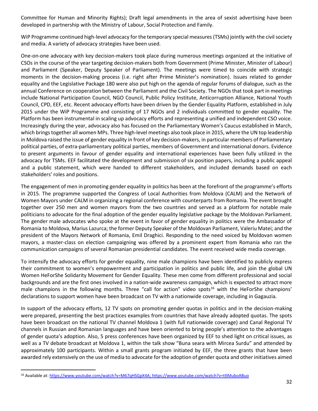Committee for Human and Minority Rights); Draft legal amendments in the area of sexist advertising have been developed in partnership with the Ministry of Labour, Social Protection and Family.

WiP Programme continued high-level advocacy for the temporary special measures (TSMs) jointly with the civil society and media. A variety of advocacy strategies have been used.

One-on-one advocacy with key decision-makers took place during numerous meetings organized at the initiative of CSOs in the course of the year targeting decision-makers both from Government (Prime Minister, Minister of Labour) and Parliament (Speaker, Deputy Speaker of Parliament). The meetings were timed to coincide with strategic moments in the decision-making process (i.e. right after Prime Minister's nomination). Issues related to gender equality and the Legislative Package 180 were also put high on the agenda of regular forums of dialogue, such as the annual Conference on cooperation between the Parliament and the Civil Society. The NGOs that took part in meetings include National Participation Council, NGO Council, Public Policy Institute, Anticorruption Alliance, National Youth Council, CPD, EEF, etc. Recent advocacy efforts have been driven by the Gender Equality Platform, established in July 2015 under the WiP Programme and consisting of 17 NGOs and 2 individuals committed to gender equality. The Platform has been instrumental in scaling up advocacy efforts and representing a unified and independent CSO voice. Increasingly during the year, advocacy also has focused on the Parliamentary Women's Caucus established in March, which brings together all women MPs. Three high-level meetings also took place in 2015, where the UN top leadership in Moldova raised the issue of gender equality in front of key decision-makers, in particular members of Parliamentary political parties, of extra-parliamentary political parties, members of Government and international donors. Evidence to present arguments in favour of gender equality and international experiences have been fully utilized in the advocacy for TSMs. EEF facilitated the development and submission of six position papers, including a public appeal and a public statement, which were handed to different stakeholders, and included demands based on each stakeholders' roles and positions.

The engagement of men in promoting gender equality in politics has been at the forefront of the programme's efforts in 2015. The programme supported the Congress of Local Authorities from Moldova (CALM) and the Network of Women Mayors under CALM in organizing a regional conference with counterparts from Romania. The event brought together over 250 men and women mayors from the two countries and served as a platform for notable male politicians to advocate for the final adoption of the gender equality legislative package by the Moldovan Parliament. The gender male advocates who spoke at the event in favor of gender equality in politics were the Ambassador of Romania to Moldova, Marius Lazurca; the former Deputy Speaker of the Moldovan Parliament, Valeriu Matei; and the president of the Mayors Network of Romania, Emil Draghici. Responding to the need voiced by Moldovan women mayors, a master-class on election campaigning was offered by a prominent expert from Romania who ran the communication campaigns of several Romanian presidential candidates. The event received wide media coverage.

To intensify the advocacy efforts for gender equality, nine male champions have been identified to publicly express their commitment to women's empowerment and participation in politics and public life, and join the global UN Women HeForShe Solidarity Movement for Gender Equality. These men come from different professional and social backgrounds and are the first ones involved in a nation-wide awareness campaign, which is expected to attract more male champions in the following months. Three "call for action" video spots<sup>16</sup> with the HeForShe champions' declarations to support women have been broadcast on TV with a nationwide coverage, including in Gagauzia.

In support of the advocacy efforts, 12 TV spots on promoting gender quotas in politics and in the decision-making were prepared, presenting the best practices examples from countries that have already adopted quotas. The spots have been broadcast on the national TV channel Moldova 1 (with full nationwide coverage) and Canal Regional TV channels in Russian and Romanian languages and have been oriented to bring people's attention to the advantages of gender quota's adoption. Also, 5 press conferences have been organized by EEF to shed light on critical issues, as well as a TV debate broadcast at Moldova 1, within the talk show "Buna seara with Mircea Surdu" and attended by approximately 100 participants. Within a small grants program initiated by EEF, the three grants that have been awarded rely extensively on the use of media to advocate for the adoption of gender quota and other initiatives aimed

 $\overline{a}$ 

<sup>16</sup> Available at[: https://www.youtube.com/watch?v=M67qHSGpX4A;](https://www.youtube.com/watch?v=M67qHSGpX4A)<https://www.youtube.com/watch?v=ttlMuboABuo>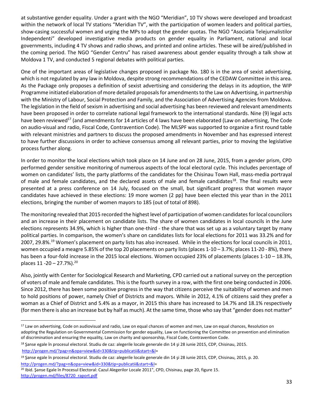at substantive gender equality. Under a grant with the NGO "Meridian", 10 TV shows were developed and broadcast within the network of local TV stations "Meridian TV", with the participation of women leaders and political parties, show-casing successful women and urging the MPs to adopt the gender quotas. The NGO "Asociatia Telejurnalistilor Independenti" developed investigative media products on gender equality in Parliament, national and local governments, including 4 TV shows and radio shows, and printed and online articles. These will be aired/published in the coming period. The NGO "Gender Centru" has raised awareness about gender equality through a talk show at Moldova 1 TV, and conducted 5 regional debates with political parties.

One of the important areas of legislative changes proposed in package No. 180 is in the area of sexist advertising, which is not regulated by any law in Moldova, despite strong recommendations of the CEDAW Committee in this area. As the Package only proposes a definition of sexist advertising and considering the delays in its adoption, the WIP Programme initiated elaboration of more detailed proposals for amendments to the Law on Advertising, in partnership with the Ministry of Labour, Social Protection and Family, and the Association of Advertising Agencies from Moldova. The legislation in the field of sexism in advertising and social advertising has been reviewed and relevant amendments have been proposed in order to correlate national legal framework to the international standards. Nine (9) legal acts have been reviewed<sup>17</sup> (and amendments for 14 articles of 4 laws have been elaborated (Law on advertising, The Code on audio-visual and radio, Fiscal Code, Contravention Code). The MLSPF was supported to organize a first round table with relevant ministries and partners to discuss the proposed amendments in November and has expressed interest to have further discussions in order to achieve consensus among all relevant parties, prior to moving the legislative process further along.

In order to monitor the local elections which took place on 14 June and on 28 June, 2015, from a gender prism, CPD performed gender sensitive monitoring of numerous aspects of the local electoral cycle. This includes percentage of women on candidates' lists, the party platforms of the candidates for the Chisinau Town Hall, mass-media portrayal of male and female candidates, and the declared assets of male and female candidates<sup>18</sup>. The final results were presented at a press conference on 14 July, focused on the small, but significant progress that women mayor candidates have achieved in these elections: 19 more women (2 pp) have been elected this year than in the 2011 elections, bringing the number of women mayors to 185 (out of total of 898).

The monitoring revealed that 2015 recorded the highest level of participation of women candidates for local councilors and an increase in their placement on candidate lists. The share of women candidates in local councils in the June elections represents 34.9%, which is higher than one-third - the share that was set up as a voluntary target by many political parties. In comparison, the women's share on candidates lists for local elections for 2011 was 33.2% and for 2007, 29.8%.<sup>19</sup> Women's placement on party lists has also increased. While in the elections for local councils in 2011, women occupied a meagre 5.85% of the top 20 placements on party lists (places  $1-10-3.7$ %; places  $11-20-8$ %), there has been a four-fold increase in the 2015 local elections. Women occupied 23% of placements (places 1-10 – 18.3%, places  $11 - 20 - 27.7%$ ).<sup>20</sup>

Also, jointly with Center for Sociological Research and Marketing, CPD carried out a national survey on the perception of voters of male and female candidates. This is the fourth survey in a row, with the first one being conducted in 2006. Since 2012, there has been some positive progress in the way that citizens perceive the suitability of women and men to hold positions of power, namely Chief of Districts and mayors. While in 2012, 4.1% of citizens said they prefer a woman as a Chief of District and 5.4% as a mayor, in 2015 this share has increased to 14.7% and 18.1% respectively (for men there is also an increase but by half as much). At the same time, those who say that "gender does not matter"

 $\overline{a}$ 

<sup>&</sup>lt;sup>17</sup> Law on advertising, Code on audiovisual and radio, Law on equal chances of women and men, Law on equal chances, Resolution on adopting the Regulation on Governmental Commission for gender equality, Law on functioning the Committee on prevention and elimination of discrimination and ensuring the equality, Law on charity and sponsorship, Fiscal Code, Contravention Code.

<sup>&</sup>lt;sup>18</sup> Şanse egale în procesul electoral. Studiu de caz: alegerile locale generale din 14 și 28 iunie 2015, CDP, Chisinau, 2015. [http://progen.md/?pag=n&opa=view&id=330&tip=publicatii&start=&l=](http://progen.md/?pag=n&opa=view&id=330&tip=publicatii&start=&l)

<sup>&</sup>lt;sup>19</sup> Şanse egale în procesul electoral. Studiu de caz: alegerile locale generale din 14 și 28 iunie 2015, CDP, Chisinau, 2015, p. 20. [http://progen.md/?pag=n&opa=view&id=330&tip=publicatii&start=&l=](http://progen.md/?pag=n&opa=view&id=330&tip=publicatii&start=&l)

<sup>&</sup>lt;sup>20</sup> Ibid. Şanse Egale în Procesul Electoral: Cazul Alegerilor Locale 2011", CPD, Chisinau, page 20, figure 15. [http://progen.md/files/8720\\_raport.pdf](http://progen.md/files/8720_raport.pdf)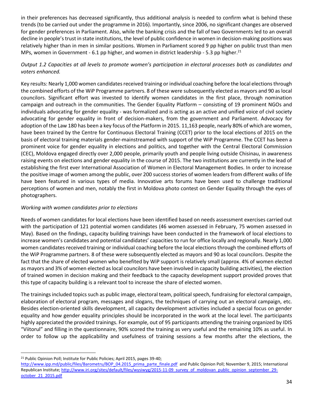in their preferences has decreased significantly, thus additional analysis is needed to confirm what is behind these trends (to be carried out under the programme in 2016). Importantly, since 2006, no significant changes are observed for gender preferences in Parliament. Also, while the banking crisis and the fall of two Governments led to an overall decline in people's trust in state institutions, the level of public confidence in women in decision-making positions was relatively higher than in men in similar positions. Women in Parliament scored 9 pp higher on public trust than men MPs, women in Government - 6.1 pp higher, and women in district leadership - 5.3 pp higher. $^{21}$ 

# *Output 1.2 Capacities at all levels to promote women's participation in electoral processes both as candidates and voters enhanced.*

Key results: Nearly 1,000 women candidates received training or individual coaching before the local elections through the combined efforts of the WiP Programme partners. 8 of these were subsequently elected as mayors and 90 as local councilors. Significant effort was invested to identify women candidates in the first place, through nomination campaign and outreach in the communities. The Gender Equality Platform – consisting of 19 prominent NGOs and individuals advocating for gender equality - was formalized and is acting as an active and unified voice of civil society advocating for gender equality in front of decision-makers, from the government and Parliament. Advocacy for adoption of the Law 180 has been a key focus of the Platform in 2015. 11,163 people, nearly 80% of which are women, have been trained by the Centre for Continuous Electoral Training (CCET) prior to the local elections of 2015 on the basis of electoral training materials gender-mainstreamed with support of the WiP Programme. The CCET has been a prominent voice for gender equality in elections and politics, and together with the Central Electoral Commission (CEC), Moldova engaged directly over 2,000 people, primarily youth and people living outside Chisinau, in awareness raising events on elections and gender equality in the course of 2015. The two institutions are currently in the lead of establishing the first ever International Association of Women in Electoral Management Bodies. In order to increase the positive image of women among the public, over 200 success stories of women leaders from different walks of life have been featured in various types of media. Innovative arts forums have been used to challenge traditional perceptions of women and men, notably the first in Moldova photo contest on Gender Equality through the eyes of photographers.

# *Working with women candidates prior to elections*

Needs of women candidates for local elections have been identified based on needs assessment exercises carried out with the participation of 121 potential women candidates (46 women assessed in February, 75 women assessed in May). Based on the findings, capacity building trainings have been conducted in the framework of local elections to increase women's candidates and potential candidates' capacities to run for office locally and regionally. Nearly 1,000 women candidates received training or individual coaching before the local elections through the combined efforts of the WiP Programme partners. 8 of these were subsequently elected as mayors and 90 as local councilors. Despite the fact that the share of elected women who benefited by WiP support is relatively small (approx. 4% of women elected as mayors and 3% of women elected as local councilors have been involved in capacity building activities), the election of trained women in decision making and their feedback to the capacity development support provided proves that this type of capacity building is a relevant tool to increase the share of elected women.

The trainings included topics such as public image, electoral team, political speech, fundraising for electoral campaign, elaboration of electoral program, messages and slogans, the techniques of carrying out an electoral campaign, etc. Besides election-oriented skills development, all capacity development activities included a special focus on gender equality and how gender equality principles should be incorporated in the work at the local level. The participants highly appreciated the provided trainings. For example, out of 95 participants attending the training organized by IDIS "Viitorul" and filling in the questionnaire, 90% scored the training as very useful and the remaining 10% as useful. In order to follow up the applicability and usefulness of training sessions a few months after the elections, the

 $\overline{a}$ <sup>21</sup> Public Opinion Poll; Institute for Public Policies; April 2015, pages 39-40;

[http://www.ipp.md/public/files/Barometru/BOP\\_04.2015\\_prima\\_parte\\_finale.pdf](http://www.ipp.md/public/files/Barometru/BOP_04.2015_prima_parte_finale.pdf) and Public Opinion Poll; November 9, 2015; International Republican Institute[; http://www.iri.org/sites/default/files/wysiwyg/2015-11-09\\_survey\\_of\\_moldovan\\_public\\_opinion\\_september\\_29](http://www.iri.org/sites/default/files/wysiwyg/2015-11-09_survey_of_moldovan_public_opinion_september_29-october_21_2015.pdf) [october\\_21\\_2015.pdf](http://www.iri.org/sites/default/files/wysiwyg/2015-11-09_survey_of_moldovan_public_opinion_september_29-october_21_2015.pdf)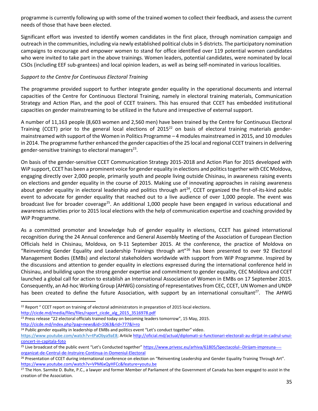programme is currently following up with some of the trained women to collect their feedback, and assess the current needs of those that have been elected.

Significant effort was invested to identify women candidates in the first place, through nomination campaign and outreach in the communities, including via newly established political clubs in 5 districts. The participatory nomination campaigns to encourage and empower women to stand for office identified over 119 potential women candidates who were invited to take part in the above trainings. Women leaders, potential candidates, were nominated by local CSOs (including EEF sub-grantees) and local opinion leaders, as well as being self-nominated in various localities.

# *Support to the Centre for Continuous Electoral Training*

The programme provided support to further integrate gender equality in the operational documents and internal capacities of the Centre for Continuous Electoral Training, namely in electoral training materials, Communication Strategy and Action Plan, and the pool of CCET trainers. This has ensured that CCET has embedded institutional capacities on gender mainstreaming to be utilized in the future and irrespective of external support.

A number of 11,163 people (8,603 women and 2,560 men) have been trained by the Centre for Continuous Electoral Training (CCET) prior to the general local elections of  $2015<sup>22</sup>$  on basis of electoral training materials gendermainstreamed with support of the Women in Politics Programme – 4 modules mainstreamed in 2015, and 10 modules in 2014. The programme further enhanced the gender capacities of the 25 local and regional CCET trainers in delivering gender-sensitive trainings to electoral managers<sup>23</sup>.

On basis of the gender-sensitive CCET Communication Strategy 2015-2018 and Action Plan for 2015 developed with WiP support, CCET has been a prominent voice for gender equality in elections and politics together with CEC Moldova, engaging directly over 2,000 people, primarily youth and people living outside Chisinau, in awareness raising events on elections and gender equality in the course of 2015. Making use of innovating approaches in raising awareness about gender equality in electoral leadership and politics through art<sup>24</sup>, CCET organized the first-of-its-kind public event to advocate for gender equality that reached out to a live audience of over 1,000 people. The event was broadcast live for broader coverage<sup>25</sup>. An additional 1,000 people have been engaged in various educational and awareness activities prior to 2015 local elections with the help of communication expertise and coaching provided by WiP Programme.

As a committed promoter and knowledge hub of gender equality in elections, CCET has gained international recognition during the 24 Annual conference and General Assembly Meeting of the Association of European Election Officials held in Chisinau, Moldova, on 9-11 September 2015. At the conference, the practice of Moldova on "Reinventing Gender Equality and Leadership Trainings through art"<sup>26</sup> has been presented to over 92 Electoral Management Bodies (EMBs) and electoral stakeholders worldwide with support from WiP Programme. Inspired by the discussions and attention to gender equality in elections expressed during the international conference held in Chisinau, and building upon the strong gender expertise and commitment to gender equality, CEC Moldova and CCET launched a global call for action to establish an International Association of Women in EMBs on 17 September 2015. Consequently, an Ad-hoc Working Group (AHWG) consisting of representatives from CEC, CCET, UN Women and UNDP has been created to define the future Association, with support by an international consultant<sup>27</sup>. The AHWG

<sup>23</sup> Press release "22 electoral officials trained today on becoming leaders tomorrow", 15 May, 2015. <http://cicde.md/index.php?pag=news&id=1063&rid=777&l=ro>

 $\overline{a}$ <sup>22</sup> Report " CCET report on training of electoral administrators in preparation of 2015 local elections. [http://cicde.md/media/files/files/raport\\_cicde\\_alg\\_2015\\_3516978.pdf](http://cicde.md/media/files/files/raport_cicde_alg_2015_3516978.pdf)

<sup>&</sup>lt;sup>24</sup> Public gender equality in leadership of EMBs and politics event "Let's conduct together" video.

[https://www.youtube.com/watch?v=tPaObya9aE8;](https://www.youtube.com/watch?v=tPaObya9aE8) Article [http://oficial.md/actual/diplomati-si-functionari-electorali-au-dirijat-in-cadrul-unui](http://oficial.md/actual/diplomati-si-functionari-electorali-au-dirijat-in-cadrul-unui-concert-in-capitala-foto)[concert-in-capitala-foto](http://oficial.md/actual/diplomati-si-functionari-electorali-au-dirijat-in-cadrul-unui-concert-in-capitala-foto)

<sup>&</sup>lt;sup>25</sup> Live broadcast of the public event "Let's Conducted together" [https://www.privesc.eu/arhiva/61805/Spectacolul--Dirijam-impreuna---](https://www.privesc.eu/arhiva/61805/Spectacolul--Dirijam-impreuna----organizat-de-Centrul-de-Instruire-Continua-in-Domeniul-Electoral) [organizat-de-Centrul-de-Instruire-Continua-in-Domeniul-Electoral](https://www.privesc.eu/arhiva/61805/Spectacolul--Dirijam-impreuna----organizat-de-Centrul-de-Instruire-Continua-in-Domeniul-Electoral)

<sup>&</sup>lt;sup>26</sup> Presentation of CCET during international conference on election on "Reinventing Leadership and Gender Equality Training Through Art". <https://www.youtube.com/watch?v=VPM6xQyHFCc&feature=youtu.be>

<sup>&</sup>lt;sup>27</sup> The Hon. Sarmite D. Bulte, P.C., a lawyer and former Member of Parliament of the Government of Canada has been engaged to assist in the creation of the Association.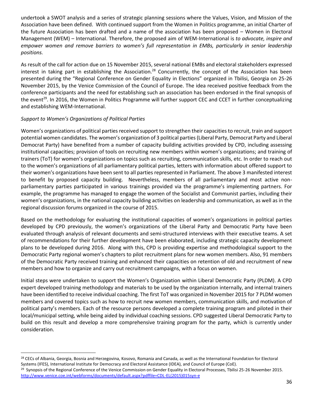undertook a SWOT analysis and a series of strategic planning sessions where the Values, Vision, and Mission of the Association have been defined. With continued support from the Women in Politics programme, an initial Charter of the future Association has been drafted and a name of the association has been proposed – Women in Electoral Management (WEM) – International. Therefore, the proposed aim of WEM-International is *to advocate, inspire and empower women and remove barriers to women's full representation in EMBs, particularly in senior leadership positions.*

As result of the call for action due on 15 November 2015, several national EMBs and electoral stakeholders expressed interest in taking part in establishing the Association.<sup>28</sup> Concurrently, the concept of the Association has been presented during the "Regional Conference on Gender Equality in Elections" organized in Tbilisi, Georgia on 25-26 November 2015, by the Venice Commission of the Council of Europe. The idea received positive feedback from the conference participants and the need for establishing such an association has been endorsed in the final synopsis of the event<sup>29</sup>. In 2016, the Women in Politics Programme will further support CEC and CCET in further conceptualizing and establishing WEM-International.

# *Support to Women's Organizations of Political Parties*

 $\overline{a}$ 

Women's organizations of political parties received support to strengthen their capacities to recruit, train and support potential women candidates. The women's organization of 3 political parties (Liberal Party, Democrat Party and Liberal Democrat Party) have benefited from a number of capacity building activities provided by CPD, including assessing institutional capacities; provision of tools on recruiting new members within women's organizations; and training of trainers (ToT) for women's organizations on topics such as recruiting, communication skills, etc. In order to reach out to the women's organizations of all parliamentary political parties, letters with information about offered support to their women's organizations have been sent to all parties represented in Parliament. The above 3 manifested interest to benefit by proposed capacity building. Nevertheless, members of all parliamentary and most active nonparliamentary parties participated in various trainings provided via the programme's implementing partners. For example, the programme has managed to engage the women of the Socialist and Communist parties, including their women's organizations, in the national capacity building activities on leadership and communication, as well as in the regional discussion forums organized in the course of 2015.

Based on the methodology for evaluating the institutional capacities of women's organizations in political parties developed by CPD previously, the women's organizations of the Liberal Party and Democratic Party have been evaluated through analysis of relevant documents and semi-structured interviews with their executive teams. A set of recommendations for their further development have been elaborated, including strategic capacity development plans to be developed during 2016. Along with this, CPD is providing expertise and methodological support to the Democratic Party regional women's chapters to pilot recruitment plans for new women members. Also, 91 members of the Democratic Party received training and enhanced their capacities on retention of old and recruitment of new members and how to organize and carry out recruitment campaigns, with a focus on women.

Initial steps were undertaken to support the Women's Organization within Liberal Democratic Party (PLDM). A CPD expert developed training methodology and materials to be used by the organization internally, and internal trainers have been identified to receive individual coaching. The first ToT was organized in November 2015 for 7 PLDM women members and covered topics such as how to recruit new women members, communication skills, and motivation of political party's members. Each of the resource persons developed a complete training program and piloted in their local/municipal setting, while being aided by individual coaching sessions. CPD suggested Liberal Democratic Party to build on this result and develop a more comprehensive training program for the party, which is currently under consideration.

<sup>&</sup>lt;sup>28</sup> CECs of Albania, Georgia, Bosnia and Herzegovina, Kosovo, Romania and Canada, as well as the International Foundation for Electoral Systems (IFES), International Institute for Democracy and Electoral Assistance (IDEA), and Council of Europe (CoE). <sup>29</sup> Synopsis of the Regional Conference of the Venice Commission on Gender Equality in Electoral Processes, Tbilisi 25-26 November 2015. [http://www.venice.coe.int/webforms/documents/default.aspx?pdffile=CDL-EL\(2015\)015syn-e](http://www.venice.coe.int/webforms/documents/default.aspx?pdffile=CDL-EL(2015)015syn-e)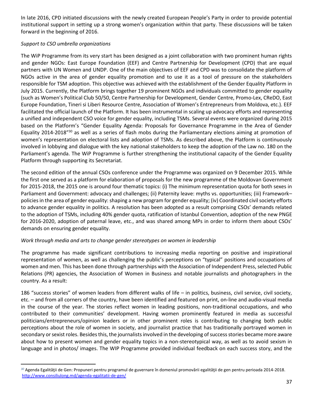In late 2016, CPD initiated discussions with the newly created European People's Party in order to provide potential institutional support in setting up a strong women's organization within that party. These discussions will be taken forward in the beginning of 2016.

# *Support to CSO umbrella organizations*

 $\ddot{\phantom{a}}$ 

The WiP Programme from its very start has been designed as a joint collaboration with two prominent human rights and gender NGOs: East Europe Foundation (EEF) and Centre Partnership for Development (CPD) that are equal partners with UN Women and UNDP. One of the main objectives of EEF and CPD was to consolidate the platform of NGOs active in the area of gender equality promotion and to use it as a tool of pressure on the stakeholders responsible for TSM adoption. This objective was achieved with the establishment of the Gender Equality Platform in July 2015. Currently, the Platform brings together 19 prominent NGOs and individuals committed to gender equality (such as Women's Political Club 50/50, Centre Partnership for Development, Gender Centre, Promo-Lex, CReDO, East Europe Foundation, Tineri si Liberi Resource Centre, Association of Women's Entrepreneurs from Moldova, etc.). EEF facilitated the official launch of the Platform. It has been instrumental in scaling up advocacy efforts and representing a unified and independent CSO voice for gender equality, including TSMs. Several events were organized during 2015 based on the Platform's "Gender Equality Agenda: Proposals for Governance Programme in the Area of Gender Equality 2014-2018"<sup>30</sup> as well as a series of flash mobs during the Parliamentary elections aiming at promotion of women's representation on electoral lists and adoption of TSMs. As described above, the Platform is continuously involved in lobbying and dialogue with the key national stakeholders to keep the adoption of the Law no. 180 on the Parliament's agenda. The WiP Programme is further strengthening the institutional capacity of the Gender Equality Platform through supporting its Secretariat.

The second edition of the annual CSOs conference under the Programme was organized on 9 December 2015. While the first one served as a platform for elaboration of proposals for the new programme of the Moldovan Government for 2015-2018, the 2015 one is around four thematic topics: (i) The minimum representation quota for both sexes in Parliament and Government: advocacy and challenges; (ii) Paternity leave: myths vs. opportunities; (iii) Framework– policies in the area of gender equality: shaping a new program for gender equality; (iv) Coordinated civil society efforts to advance gender equality in politics. A resolution has been adopted as a result comprising CSOs' demands related to the adoption of TSMs, including 40% gender quota, ratification of Istanbul Convention, adoption of the new PNGE for 2016-2020, adoption of paternal leave, etc., and was shared among MPs in order to inform them about CSOs' demands on ensuring gender equality.

# *Work through media and arts to change gender stereotypes on women in leadership*

The programme has made significant contributions to increasing media reporting on positive and inspirational representation of women, as well as challenging the public's perceptions on "typical" positions and occupations of women and men. This has been done through partnerships with the Association of Independent Press, selected Public Relations (PR) agencies, the Association of Women in Business and notable journalists and photographers in the country. As a result:

186 "success stories" of women leaders from different walks of life – in politics, business, civil service, civil society, etc. – and from all corners of the country, have been identified and featured on print, on-line and audio-visual media in the course of the year. The stories reflect women in leading positions, non-traditional occupations, and who contributed to their communities' development. Having women prominently featured in media as successful politicians/entrepreneurs/opinion leaders or in other prominent roles is contributing to changing both public perceptions about the role of women in society, and journalist practice that has traditionally portrayed women in secondary or sexist roles. Besides this, the journalists involved in the developing of success stories became more aware about how to present women and gender equality topics in a non-stereotypical way, as well as to avoid sexism in language and in photos/ images. The WIP Programme provided individual feedback on each success story, and the

<sup>&</sup>lt;sup>30</sup> Agenda Egalității de Gen: Propuneri pentru programul de guvernare în domeniul promovării egalității de gen pentru perioada 2014-2018. <http://www.consiliulong.md/agenda-egalitatii-de-gen/>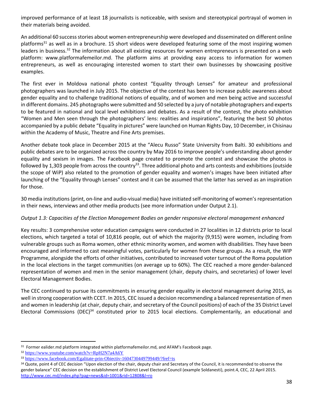improved performance of at least 18 journalists is noticeable, with sexism and stereotypical portrayal of women in their materials being avoided.

An additional 60 success stories about women entrepreneurship were developed and disseminated on different online platforms<sup>31</sup> as well as in a brochure. 15 short videos were developed featuring some of the most inspiring women leaders in business.<sup>32</sup> The information about all existing resources for women entrepreneurs is presented on a web platform: [www.platformafemeilor.md.](http://www.platformafemeilor.md/) The platform aims at providing easy access to information for women entrepreneurs, as well as encouraging interested women to start their own businesses by showcasing positive examples.

The first ever in Moldova national photo contest "Equality through Lenses" for amateur and professional photographers was launched in July 2015. The objective of the contest has been to increase public awareness about gender equality and to challenge traditional notions of equality, and of women and men being active and successful in different domains. 245 photographs were submitted and 50 selected by a jury of notable photographers and experts to be featured in national and local level exhibitions and debates. As a result of the contest, the photo exhibition "Women and Men seen through the photographers' lens: realities and inspirations", featuring the best 50 photos accompanied by a public debate "Equality in pictures" were launched on Human Rights Day, 10 December, in Chisinau within the Academy of Music, Theatre and Fine Arts premises.

Another debate took place in December 2015 at the "Alecu Russo" State University from Balti. 30 exhibitions and public debates are to be organized across the country by May 2016 to improve people's understanding about gender equality and sexism in images. The Facebook page created to promote the contest and showcase the photos is followed by 1,303 people from across the country<sup>33</sup>. Three additional photo and arts contests and exhibitions (outside the scope of WiP) also related to the promotion of gender equality and women's images have been initiated after launching of the "Equality through Lenses" contest and it can be assumed that the latter has served as an inspiration for those.

30 media institutions (print, on-line and audio-visual media) have initiated self-monitoring of women's representation in their news, interviews and other media products (see more information under Output 2.1).

# *Output 1.3: Capacities of the Election Management Bodies on gender responsive electoral management enhanced*

Key results: 3 comprehensive voter education campaigns were conducted in 27 localities in 12 districts prior to local elections, which targeted a total of 10,816 people, out of which the majority (9,915) were women, including from vulnerable groups such as Roma women, other ethnic minority women, and women with disabilities. They have been encouraged and informed to cast meaningful votes, particularly for women from these groups. As a result, the WIP Programme, alongside the efforts of other initiatives, contributed to increased voter turnout of the Roma population in the local elections in the target communities (on average up to 60%). The CEC reached a more gender-balanced representation of women and men in the senior management (chair, deputy chairs, and secretaries) of lower level Electoral Management Bodies.

The CEC continued to pursue its commitments in ensuring gender equality in electoral management during 2015, as well in strong cooperation with CCET. In 2015, CEC issued a decision recommending a balanced representation of men and women in leadership (at chair, deputy chair, and secretary of the Council positions) of each of the 35 District Level Electoral Commissions (DEC)<sup>34</sup> constituted prior to 2015 local elections. Complementarily, an educational and

 $\overline{a}$ 

<sup>&</sup>lt;sup>31</sup> Former ealider.md platform integrated within platformafemeilor.md, and AFAM's Facebook page.

<sup>32</sup> <https://www.youtube.com/watch?v=RpH2N7a4A6Y>

<sup>33</sup> <https://www.facebook.com/Egalitate-prin-Obiectiv-1604730449799449/?fref=ts>

<sup>&</sup>lt;sup>34</sup> Quote, point 4 of CEC decision "Upon election of the chair, deputy chair and Secretary of the Council, it is recommended to observe the gender balance" CEC decision on the establishment of District Level Electoral Council (example Soldanesti), point.4, CEC, 22 April 2015. <http://www.cec.md/index.php?pag=news&id=1001&rid=12808&l=ro>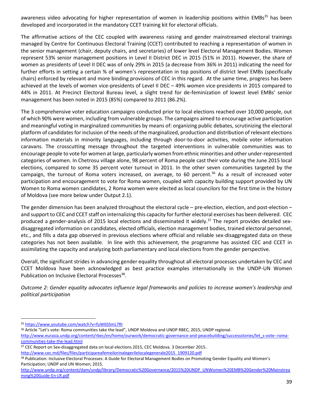awareness video advocating for higher representation of women in leadership positions within EMBs<sup>35</sup> has been developed and incorporated in the mandatory CCET training kit for electoral officials.

The affirmative actions of the CEC coupled with awareness raising and gender mainstreamed electoral trainings managed by Centre for Continuous Electoral Training (CCET) contributed to reaching a representation of women in the senior management (chair, deputy chairs, and secretaries) of lower level Electoral Management Bodies. Women represent 53% senior management positions in Level II District DEC in 2015 (51% in 2011). However, the share of women as presidents of Level II DEC was of only 29% in 2015 (a decrease from 36% in 2011) indicating the need for further efforts in setting a certain % of women's representation in top positions of district level EMBs (specifically chairs) enforced by relevant and more binding provisions of CEC in this regard. At the same time, progress has been achieved at the levels of women vice-presidents of Level II DEC – 49% women vice-presidents in 2015 compared to 44% in 2011. At Precinct Electoral Bureau level, a slight trend for de-feminization of lowest level EMBs' senior management has been noted in 2015 (85%) compared to 2011 (86.2%).

The 3 comprehensive voter education campaigns conducted prior to local elections reached over 10,000 people, out of which 90% were women, including from vulnerable groups. The campaigns aimed to encourage active participation and meaningful voting in marginalized communities by means of: organizing public debates, scrutinizing the electoral platform of candidates for inclusion of the needs of the marginalized, production and distribution of relevant elections information materials in minority languages, including through door-to-door activities, mobile voter information caravans. The crosscutting message throughout the targeted interventions in vulnerable communities was to encourage people to vote for women at large, particularly women from ethnic minorities and other under-represented categories of women. In Chetrosu village alone, 98 percent of Roma people cast their vote during the June 2015 local elections, compared to some 35 percent voter turnout in 2011. In the other seven communities targeted by the campaign, the turnout of Roma voters increased, on average, to 60 percent.<sup>36</sup> As a result of increased voter participation and encouragement to vote for Roma women, coupled with capacity building support provided by UN Women to Roma women candidates, 2 Roma women were elected as local councilors for the first time in the history of Moldova (see more below under Output 2.1).

The gender dimension has been analyzed throughout the electoral cycle – pre-election, election, and post-election – and support to CEC and CCET staff on internalizing this capacity for further electoral exercises has been delivered. CEC produced a gender-analysis of 2015 local elections and disseminated it widely.<sup>37</sup> The report provides detailed sexdisaggregated information on candidates, elected officials, election management bodies, trained electoral personnel, etc., and fills a data gap observed in previous elections where official and reliable sex-disaggregated data on these categories has not been available. In line with this achievement, the programme has assisted CEC and CCET in assimilating the capacity and analyzing both parliamentary and local elections from the gender perspective.

Overall, the significant strides in advancing gender equality throughout all electoral processes undertaken by CEC and CCET Moldova have been acknowledged as best practice examples internationally in the UNDP-UN Women Publication on Inclusive Electoral Processes<sup>38</sup>.

*Outcome 2: Gender equality advocates influence legal frameworks and policies to increase women's leadership and political participation*

 $\overline{a}$ 

<sup>36</sup> Article "Let's vote: Roma communities take the lead", UNDP Moldova and UNDP RBEC, 2015, UNDP regional.

[http://www.eurasia.undp.org/content/rbec/en/home/ourwork/democratic-governance-and-peacebuilding/successstories/let\\_s-vote--roma](http://www.eurasia.undp.org/content/rbec/en/home/ourwork/democratic-governance-and-peacebuilding/successstories/let_s-vote--roma-communities-take-the-lead.html)[communities-take-the-lead.html](http://www.eurasia.undp.org/content/rbec/en/home/ourwork/democratic-governance-and-peacebuilding/successstories/let_s-vote--roma-communities-take-the-lead.html)

37 CEC Report on Sex-disaggregated data on local elections 2015, CEC Moldova. 3 December 2015.

[http://www.cec.md/files/files/participareafemeilorinalegerilelocalegenerale2015\\_1909120.pdf](http://www.cec.md/files/files/participareafemeilorinalegerilelocalegenerale2015_1909120.pdf)

<sup>35</sup> <https://www.youtube.com/watch?v=fuW6SSmL7RI>

<sup>&</sup>lt;sup>38</sup> Publication: Inclusive Electoral Processes: A Guide for Electoral Management Bodies on Promoting Gender Equality and Women's Participation; UNDP and UN Women; 2015.

[http://www.undp.org/content/dam/undp/library/Democratic%20Governance/2015%20UNDP\\_UNWomen%20EMB%20Gender%20Mainstrea](http://www.undp.org/content/dam/undp/library/Democratic%20Governance/2015%20UNDP_UNWomen%20EMB%20Gender%20Mainstreaming%20Guide-En-LR.pdf) [ming%20Guide-En-LR.pdf](http://www.undp.org/content/dam/undp/library/Democratic%20Governance/2015%20UNDP_UNWomen%20EMB%20Gender%20Mainstreaming%20Guide-En-LR.pdf)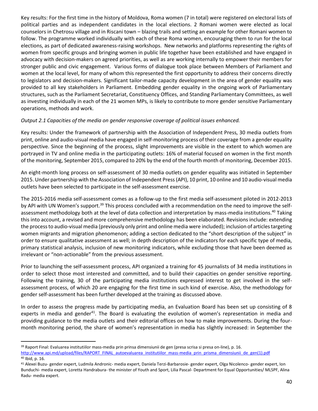Key results: For the first time in the history of Moldova, Roma women (7 in total) were registered on electoral lists of political parties and as independent candidates in the local elections. 2 Romani women were elected as local counselors in Chetrosu village and in Riscani town – blazing trails and setting an example for other Romani women to follow. The programme worked individually with each of these Roma women, encouraging them to run for the local elections, as part of dedicated awareness-raising workshops. New networks and platforms representing the rights of women from specific groups and bringing women in public life together have been established and have engaged in advocacy with decision-makers on agreed priorities, as well as are working internally to empower their members for stronger public and civic engagement. Various forms of dialogue took place between Members of Parliament and women at the local level, for many of whom this represented the first opportunity to address their concerns directly to legislators and decision-makers. Significant tailor-made capacity development in the area of gender equality was provided to all key stakeholders in Parliament. Embedding gender equality in the ongoing work of Parliamentary structures, such as the Parliament Secretariat, Constituency Offices, and Standing Parliamentary Committees, as well as investing individually in each of the 21 women MPs, is likely to contribute to more gender sensitive Parliamentary operations, methods and work.

#### *Output 2.1 Capacities of the media on gender responsive coverage of political issues enhanced.*

Key results: Under the framework of partnership with the Association of Independent Press, 30 media outlets from print, online and audio-visual media have engaged in self-monitoring process of their coverage from a gender equality perspective. Since the beginning of the process, slight improvements are visible in the extent to which women are portrayed in TV and online media in the participating outlets: 16% of material focused on women in the first month of the monitoring, September 2015, compared to 20% by the end of the fourth month of monitoring, December 2015.

An eight-month long process on self-assessment of 30 media outlets on gender equality was initiated in September 2015. Under partnership with the Association of Independent Press (API), 10 print, 10 online and 10 audio-visual media outlets have been selected to participate in the self-assessment exercise.

The 2015-2016 media self-assessment comes as a follow-up to the first media self-assessment piloted in 2012-2013 by API with UN Women's support.<sup>39</sup> This process concluded with a recommendation on the need to improve the selfassessment methodology both at the level of data collection and interpretation by mass-media institutions.<sup>40</sup> Taking this into account, a revised and more comprehensive methodology has been elaborated. Revisions include: extending the process to audio-visual media (previously only print and online media were included); inclusion of articles targeting women migrants and migration phenomenon; adding a section dedicated to the "short description of the subject" in order to ensure qualitative assessment as well; in depth description of the indicators for each specific type of media, primary statistical analysis, inclusion of new monitoring indicators, while excluding those that have been deemed as irrelevant or "non-actionable" from the previous assessment.

Prior to launching the self-assessment process, API organized a training for 45 journalists of 34 media institutions in order to select those most interested and committed, and to build their capacities on gender sensitive reporting. Following the training, 30 of the participating media institutions expressed interest to get involved in the selfassessment process, of which 20 are engaging for the first time in such kind of exercise. Also, the methodology for gender self-assessment has been further developed at the training as discussed above.

In order to assess the progress made by participating media, an Evaluation Board has been set up consisting of 8 experts in media and gender<sup>41</sup>. The Board is evaluating the evolution of women's representation in media and providing guidance to the media outlets and their editorial offices on how to make improvements. During the fourmonth monitoring period, the share of women's representation in media has slightly increased: in September the

 $\overline{a}$ 

<sup>&</sup>lt;sup>39</sup> Raport Final: Evaluarea institutiilor mass-media prin prinsa dimensiunii de gen (presa scrisa si presa on-line), p. 16. [http://www.api.md/upload/files/RAPORT\\_FINAL\\_autoevaluarea\\_institutiilor\\_mass-media\\_prin\\_prisma\\_dimensiunii\\_de\\_gen\(1\).pdf](http://www.api.md/upload/files/RAPORT_FINAL_autoevaluarea_institutiilor_mass-media_prin_prisma_dimensiunii_de_gen(1).pdf) <sup>40</sup> Ibid, p. 16.

<sup>&</sup>lt;sup>41</sup> Alexei Buzu- gender expert, Ludmila Andronic- media expert, Daniela Terzi-Barbarosie- gender expert, Olga Nicolenco- gender expert, Ion Bunduchi- media expert, Loretta Handrabura- the minister of Youth and Sport, Lilia Pascal- Department for Equal Opportunities/ MLSPF, Alina Radu- media expert.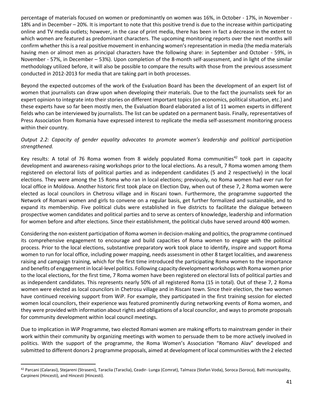percentage of materials focused on women or predominantly on women was 16%, in October - 17%, in November - 18% and in December – 20%. It is important to note that this positive trend is due to the increase within participating online and TV media outlets; however, in the case of print media, there has been in fact a decrease in the extent to which women are featured as predominant characters. The upcoming monitoring reports over the next months will confirm whether this is a real positive movement in enhancing women's representation in media (the media materials having men or almost men as principal characters have the following share: in September and October - 59%, in November - 57%, in December – 53%). Upon completion of the 8-month self-assessment, and in light of the similar methodology utilized before, it will also be possible to compare the results with those from the previous assessment conducted in 2012-2013 for media that are taking part in both processes.

Beyond the expected outcomes of the work of the Evaluation Board has been the development of an expert list of women that journalists can draw upon when developing their materials. Due to the fact the journalists seek for an expert opinion to integrate into their stories on different important topics (on economics, political situation, etc.) and these experts have so far been mostly men, the Evaluation Board elaborated a list of 11 women experts in different fields who can be interviewed by journalists. The list can be updated on a permanent basis. Finally, representatives of Press Association from Romania have expressed interest to replicate the media self-assessment monitoring process within their country.

# *Output 2.2: Capacity of gender equality advocates to promote women's leadership and political participation strengthened.*

Key results: A total of 76 Roma women from 8 widely populated Roma communities<sup>42</sup> took part in capacity development and awareness-raising workshops prior to the local elections. As a result, 7 Roma women among them registered on electoral lists of political parties and as independent candidates (5 and 2 respectively) in the local elections. They were among the 15 Roma who ran in local elections; previously, no Roma women had ever run for local office in Moldova. Another historic first took place on Election Day, when out of these 7, 2 Roma women were elected as local councilors in Chetrosu village and in Riscani town. Furthermore, the programme supported the Network of Romani women and girls to convene on a regular basis, get further formalized and sustainable, and to expand its membership. Five political clubs were established in five districts to facilitate the dialogue between prospective women candidates and political parties and to serve as centers of knowledge, leadership and information for women before and after elections. Since their establishment, the political clubs have served around 400 women.

Considering the non-existent participation of Roma women in decision-making and politics, the programme continued its comprehensive engagement to encourage and build capacities of Roma women to engage with the political process. Prior to the local elections, substantive preparatory work took place to identify, inspire and support Roma women to run for local office, including power mapping, needs assessment in other 8 target localities, and awareness raising and campaign training, which for the first time introduced the participating Roma women to the importance and benefits of engagement in local-level politics. Following capacity development workshops with Roma women prior to the local elections, for the first time, 7 Roma women have been registered on electoral lists of political parties and as independent candidates. This represents nearly 50% of all registered Roma (15 in total). Out of these 7, 2 Roma women were elected as local councilors in Chetrosu village and in Riscani town. Since their election, the two women have continued receiving support from WiP. For example, they participated in the first training session for elected women local councilors, their experience was featured prominently during networking events of Roma women, and they were provided with information about rights and obligations of a local councilor, and ways to promote proposals for community development within local council meetings.

Due to implication in WiP Programme, two elected Romani women are making efforts to mainstream gender in their work within their community by organizing meetings with women to persuade them to be more actively involved in politics. With the support of the programme, the Roma Women's Association "Romano Alav" developed and submitted to different donors 2 programme proposals, aimed at development of local communities with the 2 elected

 $\ddot{\phantom{a}}$ 

<sup>42</sup> Parcani (Calarasi), Stejareni (Straseni), Taraclia (Taraclia), Ceadir- Lunga (Comrat), Talmaza (Stefan Voda), Soroca (Soroca), Balti municipality, Carpineni (Hincesti), and Hincesti (Hincesti).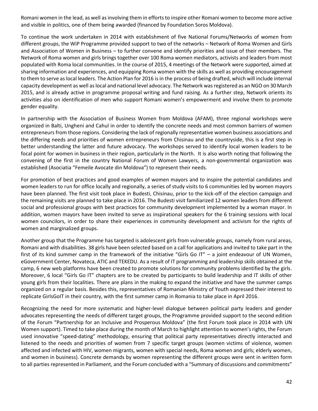Romani women in the lead, as well as involving them in efforts to inspire other Romani women to become more active and visible in politics, one of them being awarded (financed by Foundation Soros Moldova).

To continue the work undertaken in 2014 with establishment of five National Forums/Networks of women from different groups, the WiP Programme provided support to two of the networks – Network of Roma Women and Girls and Association of Women in Business – to further convene and identify priorities and issue of their members. The Network of Roma women and girls brings together over 100 Roma women mediators, activists and leaders from most populated with Roma local communities. In the course of 2015, 4 meetings of the Network were supported, aimed at sharing information and experiences, and equipping Roma women with the skills as well as providing encouragement to them to serve as local leaders. The Action Plan for 2016 is in the process of being drafted, which will include internal capacity development as well as local and national level advocacy. The Network was registered as an NGO on 30 March 2015, and is already active in programme proposal writing and fund raising. As a further step, Network orients its activities also on identification of men who support Romani women's empowerment and involve them to promote gender equality.

In partnership with the Association of Business Women from Moldova (AFAM), three regional workshops were organized in Balti, Ungheni and Cahul in order to identify the concrete needs and most common barriers of women entrepreneurs from those regions. Considering the lack of regionally representative women business associations and the differing needs and priorities of women entrepreneurs from Chisinau and the countryside, this is a first step in better understanding the latter and future advocacy. The workshops served to identify local women leaders to be focal point for women in business in their region, particularly in the North. It is also worth noting that following the convening of the first in the country National Forum of Women Lawyers, a non-governmental organization was established (Asociatia "Femeile Avocate din Moldova") to represent their needs.

For promotion of best practices and good examples of women mayors and to inspire the potential candidates and women leaders to run for office locally and regionally, a series of study visits to 6 communities led by women mayors have been planned. The first visit took place in Budesti, Chisinau, prior to the kick-off of the election campaign and the remaining visits are planned to take place in 2016. The Budesti visit familiarized 12 women leaders from different social and professional groups with best practices for community development implemented by a woman mayor. In addition, women mayors have been invited to serve as inspirational speakers for the 6 training sessions with local women councilors, in order to share their experiences in community development and activism for the rights of women and marginalized groups.

Another group that the Programme has targeted is adolescent girls from vulnerable groups, namely from rural areas, Romani and with disabilities. 38 girls have been selected based on a call for applications and invited to take part in the first of its kind summer camp in the framework of the initiative "Girls Go IT" – a joint endeavour of UN Women, eGovernment Center, Novateca, ATIC and TEKEDU. As a result of IT programming and leadership skills obtained at the camp, 6 new web platforms have been created to promote solutions for community problems identified by the girls. Moreover, 6 local "Girls Go IT" chapters are to be created by participants to build leadership and IT skills of other young girls from their localities. There are plans in the making to expand the initiative and have the summer camps organized on a regular basis. Besides this, representatives of Romanian Ministry of Youth expressed their interest to replicate GirlsGoIT in their country, with the first summer camp in Romania to take place in April 2016.

Recognizing the need for more systematic and higher-level dialogue between political party leaders and gender advocates representing the needs of different target groups, the Programme provided support to the second edition of the Forum "Partnership for an Inclusive and Prosperous Moldova" (the first Forum took place in 2014 with UN Women support). Timed to take place during the month of March to highlight attention to women's rights, the Forum used innovative "speed-dating" methodology, ensuring that political party representatives directly interacted and listened to the needs and priorities of women from 7 specific target groups (women victims of violence, women affected and infected with HIV, women migrants, women with special needs, Roma women and girls; elderly women, and women in business). Concrete demands by women representing the different groups were sent in written form to all parties represented in Parliament, and the Forum concluded with a "Summary of discussions and commitments"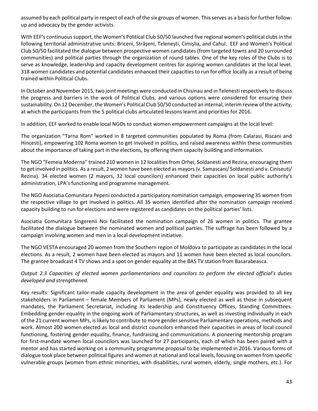assumed by each political party in respect of each of the six groups of women. This serves as a basis for further followup and advocacy by the gender activists.

With EEF's continuous support, the Women's Political Club 50/50 launched five regional women's political clubs in the following territorial administrative units: Briceni, Străşeni, Teleneşti, Cimişlia, and Cahul. EEF and Women's Political Club 50/50 facilitated the dialogue between prospective women candidates (from targeted towns and 20 surrounded communities) and political parties through the organization of round tables. One of the key roles of the Clubs is to serve as knowledge, leadership and capacity development centres for aspiring women candidates at the local level. 318 women candidates and potential candidates enhanced their capacities to run for office locally as a result of being trained within Political Clubs.

In October and November 2015, two joint meetings were conducted in Chisinau and in Telenesti respectively to discuss the progress and barriers in the work of Political Clubs, and various options were considered for ensuring their sustainability. On 12 December, the Women's Political Club 50/50 conducted an internal, interim review of the activity, at which the participants from the 5 political clubs articulated lessons learnt and priorities for 2016.

In addition, EEF worked to enable local NGOs to conduct women empowerment campaigns at the local level:

The organization "Tarna Rom" worked in 8 targeted communities populated by Roma (from Calarasi, Riscani and Hincesti), empowering 102 Roma women to get involved in politics, and raised awareness within these communities about the importance of taking part in the elections, by offering them capacity building and information.

The NGO "Femeia Moderna" trained 210 women in 12 localities from Orhei, Soldanesti and Rezina, encouraging them to get involved in politics. As a result, 2 women have been elected as mayors (v. Samascani/ Soldanesti and v. Ciniseuti/ Rezina). 34 elected women (2 mayors, 32 local councilors) enhanced their capacities on local public authority's administration, LPA's functioning and programme management.

The NGO Asociatia Comunitara Pepeni conducted a participatory nomination campaign, empowering 35 women from the respective village to get involved in politics. All 35 women identified after the nomination campaign received capacity building to run for elections and were registered as candidates on the political parties' lists.

Asociatia Comunitara Singerenii Noi facilitated the nomination campaign of 26 women in politics. The grantee facilitated the dialogue between the nominated women and political parties. The suffrage has been followed by a campaign involving women and men in a local development initiative.

The NGO VESTA encouraged 20 women from the Southern region of Moldova to participate as candidates in the local elections. As a result, 2 women have been elected as mayors and 11 women have been elected as local councilors. The grantee broadcast 4 TV shows and a spot on gender equality at the BAS TV station from Basarabeasca.

# *Output 2.3 Capacities of elected women parliamentarians and councilors to perform the elected official's duties developed and strengthened.*

Key results: Significant tailor-made capacity development in the area of gender equality was provided to all key stakeholders in Parliament – female Members of Parliament (MPs), newly elected as well as those in subsequent mandates, the Parliament Secretariat, including its leadership and Constituency Offices, Standing Committees. Embedding gender equality in the ongoing work of Parliamentary structures, as well as investing individually in each of the 21 current women MPs, is likely to contribute to more gender sensitive Parliamentary operations, methods and work. Almost 200 women elected as local and district councilors enhanced their capacities in areas of local council functioning, fostering gender equality, finance, fundraising and communications. A pioneering mentorship program for first-mandate women local councilors was launched for 27 participants, each of which has been paired with a mentor and has started working on a community programme proposal to be implemented in 2016. Various forms of dialogue took place between political figures and women at national and local levels, focusing on women from specific vulnerable groups (women from ethnic minorities, with disabilities, rural women, elderly, single mothers, etc.). For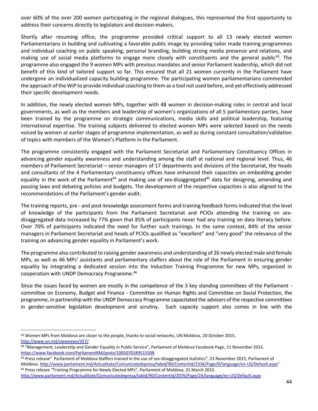over 60% of the over 200 women participating in the regional dialogues, this represented the first opportunity to address their concerns directly to legislators and decision-makers.

Shortly after resuming office, the programme provided critical support to all 13 newly elected women Parliamentarians in building and cultivating a favorable public image by providing tailor made training programmes and individual coaching on public speaking, personal branding, building strong media presence and relations, and making use of social media platforms to engage more closely with constituents and the general public<sup>43</sup>. The programme also engaged the 9 women MPs with previous mandates and senior Parliament leadership, which did not benefit of this kind of tailored support so far. This ensured that all 21 women currently in the Parliament have undergone an individualized capacity building programme. The participating women parliamentarians commended the approach of the WiP to provide individual coaching to them as a tool not used before, and yet effectively addressed their specific development needs.

In addition, the newly elected women MPs, together with 48 women in decision-making roles in central and local governments, as well as the members and leadership of women's organizations of all 5 parliamentary parties, have been trained by the programme on strategic communications, media skills and political leadership, featuring international expertise. The training subjects delivered to elected women MPs were selected based on the needs voiced by women at earlier stages of programme implementation, as well as during constant consultation/validation of topics with members of the Women's Platform in the Parliament.

The programme consistently engaged with the Parliament Secretariat and Parliamentary Constituency Offices in advancing gender equality awareness and understanding among the staff at national and regional level. Thus, 46 members of Parliament Secretariat – senior managers of 17 departments and divisions of the Secretariat, the heads and consultants of the 4 Parliamentary constituency offices have enhanced their capacities on embedding gender equality in the work of the Parliament<sup>44</sup> and making use of sex-disaggregated<sup>45</sup> data for designing, amending and passing laws and debating policies and budgets. The development of the respective capacities is also aligned to the recommendations of the Parliament's gender audit.

The training reports, pre - and post-knowledge assessment forms and training feedback forms indicated that the level of knowledge of the participants from the Parliament Secretariat and PCIOs attending the training on sexdisaggregated data increased by 77% given that 85% of participants never had any training on data literacy before. Over 70% of participants indicated the need for further such trainings. In the same context, 84% of the senior managers in Parliament Secretariat and heads of PCIOs qualified as "excellent" and "very good" the relevance of the training on advancing gender equality in Parliament's work.

The programme also contributed to raising gender awareness and understanding of 26 newly elected male and female MPs, as well as 46 MPs' assistants and parliamentary staffers about the role of the Parliament in ensuring gender equality by integrating a dedicated session into the Induction Training Programme for new MPs, organized in cooperation with UNDP Democracy Programme.<sup>46</sup>

Since the issues faced by women are mostly in the competence of the 3 key standing committees of the Parliament committee on Economy, Budget and Finance - Committee on Human Rights and Committee on Social Protection, the programme, in partnership with the UNDP Democracy Programme capacitated the advisors of the respective committees in gender-sensitive legislation development and scrutiny. Such capacity support also comes in line with the

 $\overline{a}$ 

<sup>&</sup>lt;sup>43</sup> Women MPs from Moldova are closer to the people, thanks to social networks, UN Moldova, 20 October 2015. <http://www.un.md/viewnews/357/>

<sup>&</sup>lt;sup>44</sup> "Management, Leadership and Gender Equality in Public Service", Parliament of Moldova Facebook Page, 11 November 2015. <https://www.facebook.com/ParliamentRM/posts/1005070189515508>

<sup>45</sup> Press release" Parliament of Moldova Staffers trained in the use of sex-disaggregated statistics", 23 November 2015, Parliament of Moldova. <http://www.parliament.md/Actualitate/Comunicatedepresa/tabid/90/ContentId/2336/Page/0/language/en-US/Default.aspx>" <sup>46</sup> Press release "Training Programme for Newly Elected MPs", Parliament of Moldova, 31 March 2015.

<http://www.parliament.md/Actualitate/Comunicatedepresa/tabid/90/ContentId/2076/Page/24/language/en-US/Default.aspx>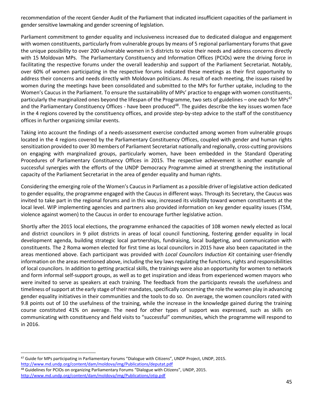recommendation of the recent Gender Audit of the Parliament that indicated insufficient capacities of the parliament in gender sensitive lawmaking and gender screening of legislation.

Parliament commitment to gender equality and inclusiveness increased due to dedicated dialogue and engagement with women constituents, particularly from vulnerable groups by means of 5 regional parliamentary forums that gave the unique possibility to over 200 vulnerable women in 5 districts to voice their needs and address concerns directly with 15 Moldovan MPs. The Parliamentary Constituency and Information Offices (PCIOs) were the driving force in facilitating the respective forums under the overall leadership and support of the Parliament Secretariat. Notably, over 60% of women participating in the respective forums indicated these meetings as their first opportunity to address their concerns and needs directly with Moldovan politicians. As result of each meeting, the issues raised by women during the meetings have been consolidated and submitted to the MPs for further uptake, including to the Women's Caucus in the Parliament. To ensure the sustainability of MPs' practice to engage with women constituents, particularly the marginalized ones beyond the lifespan of the Programme, two sets of guidelines – one each for MPs<sup>47</sup> and the Parliamentary Constituency Offices - have been produced<sup>48</sup>. The guides describe the key issues women face in the 4 regions covered by the constituency offices, and provide step-by-step advice to the staff of the constituency offices in further organizing similar events.

Taking into account the findings of a needs-assessment exercise conducted among women from vulnerable groups located in the 4 regions covered by the Parliamentary Constituency Offices, coupled with gender and human rights sensitization provided to over 30 members of Parliament Secretariat nationally and regionally, cross-cutting provisions on engaging with marginalized groups, particularly women, have been embedded in the Standard Operating Procedures of Parliamentary Constituency Offices in 2015. The respective achievement is another example of successful synergies with the efforts of the UNDP Democracy Programme aimed at strengthening the institutional capacity of the Parliament Secretariat in the area of gender equality and human rights.

Considering the emerging role of the Women's Caucus in Parliament as a possible driver of legislative action dedicated to gender equality, the programme engaged with the Caucus in different ways. Through its Secretary, the Caucus was invited to take part in the regional forums and in this way, increased its visibility toward women constituents at the local level. WIP implementing agencies and partners also provided information on key gender equality issues (TSM, violence against women) to the Caucus in order to encourage further legislative action.

Shortly after the 2015 local elections, the programme enhanced the capacities of 108 women newly elected as local and district councilors in 9 pilot districts in areas of local council functioning, fostering gender equality in local development agenda, building strategic local partnerships, fundraising, local budgeting, and communication with constituents. The 2 Roma women elected for first time as local councilors in 2015 have also been capacitated in the areas mentioned above. Each participant was provided with *Local Councilors Induction Kit* containing user-friendly information on the areas mentioned above, including the key laws regulating the functions, rights and responsibilities of local councilors. In addition to getting practical skills, the trainings were also an opportunity for women to network and form informal self-support groups, as well as to get inspiration and ideas from experienced women mayors who were invited to serve as speakers at each training. The feedback from the participants reveals the usefulness and timeliness of support at the early stage of their mandates, specifically concerning the role the women play in advancing gender equality initiatives in their communities and the tools to do so. On average, the women councilors rated with 9.8 points out of 10 the usefulness of the training, while the increase in the knowledge gained during the training course constituted 41% on average. The need for other types of support was expressed, such as skills on communicating with constituency and field visits to "successful" communities, which the programme will respond to in 2016.

 $\overline{a}$ <sup>47</sup> Guide for MPs participating in Parliamentary Forums "Dialogue with Citizens", UNDP Project, UNDP, 2015. <http://www.md.undp.org/content/dam/moldova/img/Publications/deputat.pdf>

<sup>48</sup> Guidelines for PCIOs on organizing Parliamentary Forums "Dialogue with Citizens", UNDP, 2015. <http://www.md.undp.org/content/dam/moldova/img/Publications/otip.pdf>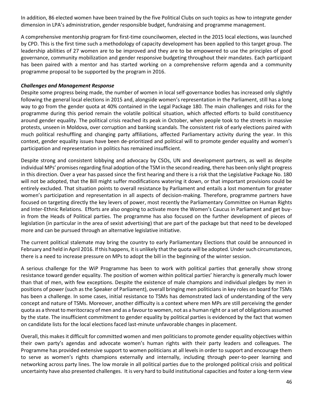In addition, 86 elected women have been trained by the five Political Clubs on such topics as how to integrate gender dimension in LPA's administration, gender responsible budget, fundraising and programme management.

A comprehensive mentorship program for first-time councilwomen, elected in the 2015 local elections, was launched by CPD. This is the first time such a methodology of capacity development has been applied to this target group. The leadership abilities of 27 women are to be improved and they are to be empowered to use the principles of good governance, community mobilization and gender responsive budgeting throughout their mandates. Each participant has been paired with a mentor and has started working on a comprehensive reform agenda and a community programme proposal to be supported by the program in 2016.

#### *Challenges and Management Response*

Despite some progress being made, the number of women in local self-governance bodies has increased only slightly following the general local elections in 2015 and, alongside women's representation in the Parliament, still has a long way to go from the gender quota at 40% contained in the Legal Package 180. The main challenges and risks for the programme during this period remain the volatile political situation, which affected efforts to build constituency around gender equality. The political crisis reached its peak in October, when people took to the streets in massive protests, unseen in Moldova, over corruption and banking scandals. The consistent risk of early elections paired with much political reshuffling and changing party affiliations, affected Parliamentary activity during the year. In this context, gender equality issues have been de-prioritized and political will to promote gender equality and women's participation and representation in politics has remained insufficient.

Despite strong and consistent lobbying and advocacy by CSOs, UN and development partners, as well as despite individual MPs' promises regarding final adoption of the TSM in the second reading, there has been only slight progress in this direction. Over a year has passed since the first hearing and there is a risk that the Legislative Package No. 180 will not be adopted, that the Bill might suffer modifications watering it down, or that important provisions could be entirely excluded. That situation points to overall resistance by Parliament and entails a lost momentum for greater women's participation and representation in all aspects of decision-making. Therefore, programme partners have focused on targeting directly the key levers of power, most recently the Parliamentary Committee on Human Rights and Inter-Ethnic Relations. Efforts are also ongoing to activate more the Women's Caucus in Parliament and get buyin from the Heads of Political parties. The programme has also focused on the further development of pieces of legislation (in particular in the area of sexist advertising) that are part of the package but that need to be developed more and can be pursued through an alternative legislative initiative.

The current political stalemate may bring the country to early Parliamentary Elections that could be announced in February and held in April 2016. If this happens, it is unlikely that the quota will be adopted. Under such circumstances, there is a need to increase pressure on MPs to adopt the bill in the beginning of the winter session.

A serious challenge for the WiP Programme has been to work with political parties that generally show strong resistance toward gender equality. The position of women within political parties' hierarchy is generally much lower than that of men, with few exceptions. Despite the existence of male champions and individual pledges by men in positions of power (such as the Speaker of Parliament), overall bringing men politicians in key roles on board for TSMs has been a challenge. In some cases, initial resistance to TSMs has demonstrated lack of understanding of the very concept and nature of TSMs. Moreover, another difficulty is a context where men MPs are still perceiving the gender quota as a threat to meritocracy of men and as a favour to women, not as a human right or a set of obligations assumed by the state. The insufficient commitment to gender equality by political parties is evidenced by the fact that women on candidate lists for the local elections faced last-minute unfavorable changes in placement.

Overall, this makes it difficult for committed women and men politicians to promote gender equality objectives within their own party's agendas and advocate women's human rights with their party leaders and colleagues. The Programme has provided extensive support to women politicians at all levels in order to support and encourage them to serve as women's rights champions externally and internally, including through peer-to-peer learning and networking across party lines. The low morale in all political parties due to the prolonged political crisis and political uncertainty have also presented challenges. It is very hard to build institutional capacities and foster a long-term view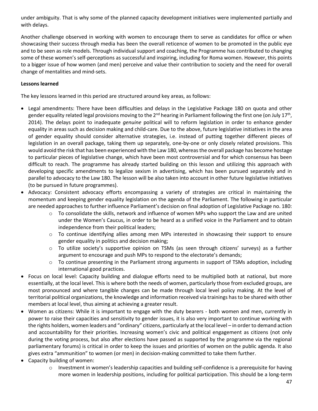under ambiguity. That is why some of the planned capacity development initiatives were implemented partially and with delays.

Another challenge observed in working with women to encourage them to serve as candidates for office or when showcasing their success through media has been the overall reticence of women to be promoted in the public eye and to be seen as role models. Through individual support and coaching, the Programme has contributed to changing some of these women's self-perceptions as successful and inspiring, including for Roma women. However, this points to a bigger issue of how women (and men) perceive and value their contribution to society and the need for overall change of mentalities and mind-sets.

# **Lessons learned**

The key lessons learned in this period are structured around key areas, as follows:

- Legal amendments: There have been difficulties and delays in the Legislative Package 180 on quota and other gender equality related legal provisions moving to the 2<sup>nd</sup> hearing in Parliament following the first one (on July 17<sup>th</sup>, 2014). The delays point to inadequate *genuine* political will to reform legislation in order to enhance gender equality in areas such as decision making and child-care. Due to the above, future legislative initiatives in the area of gender equality should consider alternative strategies, i.e. instead of putting together different pieces of legislation in an overall package, taking them up separately, one-by-one or only closely related provisions. This would avoid the risk that has been experienced with the Law 180, whereas the overall package has become hostage to particular pieces of legislative change, which have been most controversial and for which consensus has been difficult to reach. The programme has already started building on this lesson and utilizing this approach with developing specific amendments to legalize sexism in advertising, which has been pursued separately and in parallel to advocacy to the Law 180. The lesson will be also taken into account in other future legislative initiatives (to be pursued in future programmes).
- Advocacy: Consistent advocacy efforts encompassing a variety of strategies are critical in maintaining the momentum and keeping gender equality legislation on the agenda of the Parliament. The following in particular are needed approaches to further influence Parliament's decision on final adoption of Legislative Package no. 180:
	- $\circ$  To consolidate the skills, network and influence of women MPs who support the Law and are united under the Women's Caucus, in order to be heard as a unified voice in the Parliament and to obtain independence from their political leaders;
	- $\circ$  To continue identifying allies among men MPs interested in showcasing their support to ensure gender equality in politics and decision making;
	- o To utilize society's supportive opinion on TSMs (as seen through citizens' surveys) as a further argument to encourage and push MPs to respond to the electorate's demands;
	- $\circ$  To continue presenting in the Parliament strong arguments in support of TSMs adoption, including international good practices.
- Focus on local level: Capacity building and dialogue efforts need to be multiplied both at national, but more essentially, at the local level. This is where both the needs of women, particularly those from excluded groups, are most pronounced and where tangible changes can be made through local level policy making. At the level of territorial political organizations, the knowledge and information received via trainings has to be shared with other members at local level, thus aiming at achieving a greater result.
- Women as citizens: While it is important to engage with the duty bearers both women and men, currently in power to raise their capacities and sensitivity to gender issues, it is also very important to continue working with the rights holders, women leaders and "ordinary" citizens, particularly at the local level – in order to demand action and accountability for their priorities. Increasing women's civic and political engagement as citizens (not only during the voting process, but also after elections have passed as supported by the programme via the regional parliamentary forums) is critical in order to keep the issues and priorities of women on the public agenda. It also gives extra "ammunition" to women (or men) in decision-making committed to take them further.
- Capacity building of women:
	- o Investment in women's leadership capacities and building self-confidence is a prerequisite for having more women in leadership positions, including for political participation. This should be a long-term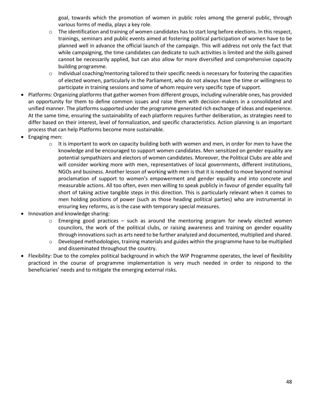goal, towards which the promotion of women in public roles among the general public, through various forms of media, plays a key role.

- o The identification and training of women candidates has to start long before elections. In this respect, trainings, seminars and public events aimed at fostering political participation of women have to be planned well in advance the official launch of the campaign. This will address not only the fact that while campaigning, the time candidates can dedicate to such activities is limited and the skills gained cannot be necessarily applied, but can also allow for more diversified and comprehensive capacity building programme.
- $\circ$  Individual coaching/mentoring tailored to their specific needs is necessary for fostering the capacities of elected women, particularly in the Parliament, who do not always have the time or willingness to participate in training sessions and some of whom require very specific type of support.
- Platforms: Organizing platforms that gather women from different groups, including vulnerable ones, has provided an opportunity for them to define common issues and raise them with decision-makers in a consolidated and unified manner. The platforms supported under the programme generated rich exchange of ideas and experience. At the same time, ensuring the sustainability of each platform requires further deliberation, as strategies need to differ based on their interest, level of formalization, and specific characteristics. Action planning is an important process that can help Platforms become more sustainable.
- Engaging men:
	- $\circ$  It is important to work on capacity building both with women and men, in order for men to have the knowledge and be encouraged to support women candidates. Men sensitized on gender equality are potential sympathizers and electors of women candidates. Moreover, the Political Clubs are able and will consider working more with men, representatives of local governments, different institutions, NGOs and business. Another lesson of working with men is that it is needed to move beyond nominal proclamation of support to women's empowerment and gender equality and into concrete and measurable actions. All too often, even men willing to speak publicly in favour of gender equality fall short of taking active tangible steps in this direction. This is particularly relevant when it comes to men holding positions of power (such as those heading political parties) who are instrumental in ensuring key reforms, as is the case with temporary special measures.
- Innovation and knowledge sharing:
	- $\circ$  Emerging good practices such as around the mentoring program for newly elected women councilors, the work of the political clubs, or raising awareness and training on gender equality through innovations such as arts need to be further analyzed and documented, multiplied and shared.
	- o Developed methodologies, training materials and guides within the programme have to be multiplied and disseminated throughout the country.
- Flexibility: Due to the complex political background in which the WiP Programme operates, the level of flexibility practiced in the course of programme implementation is very much needed in order to respond to the beneficiaries' needs and to mitigate the emerging external risks.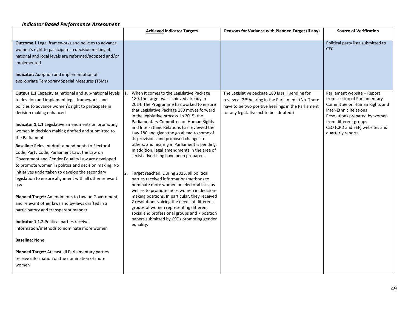#### *Indicator Based Performance Assessment*

|                                                                                                                                                                                                                                                                                                                                                                                                                                                                                                                                                                                                                                                                                                                                                                                                                                                                                                                                                                                                                                                           | <b>Achieved Indicator Targets</b>                                                                                                                                                                                                                                                                                                                                                                                                                                                                                                                                                                                                                                                                                                                                                                                                                                                                                                                                                                                        | Reasons for Variance with Planned Target (if any)                                                                                                                                                                    | <b>Source of Verification</b>                                                                                                                                                                                                                   |
|-----------------------------------------------------------------------------------------------------------------------------------------------------------------------------------------------------------------------------------------------------------------------------------------------------------------------------------------------------------------------------------------------------------------------------------------------------------------------------------------------------------------------------------------------------------------------------------------------------------------------------------------------------------------------------------------------------------------------------------------------------------------------------------------------------------------------------------------------------------------------------------------------------------------------------------------------------------------------------------------------------------------------------------------------------------|--------------------------------------------------------------------------------------------------------------------------------------------------------------------------------------------------------------------------------------------------------------------------------------------------------------------------------------------------------------------------------------------------------------------------------------------------------------------------------------------------------------------------------------------------------------------------------------------------------------------------------------------------------------------------------------------------------------------------------------------------------------------------------------------------------------------------------------------------------------------------------------------------------------------------------------------------------------------------------------------------------------------------|----------------------------------------------------------------------------------------------------------------------------------------------------------------------------------------------------------------------|-------------------------------------------------------------------------------------------------------------------------------------------------------------------------------------------------------------------------------------------------|
| Outcome 1 Legal frameworks and policies to advance<br>women's right to participate in decision making at<br>national and local levels are reformed/adopted and/or<br>implemented<br><b>Indicator:</b> Adoption and implementation of<br>appropriate Temporary Special Measures (TSMs)                                                                                                                                                                                                                                                                                                                                                                                                                                                                                                                                                                                                                                                                                                                                                                     |                                                                                                                                                                                                                                                                                                                                                                                                                                                                                                                                                                                                                                                                                                                                                                                                                                                                                                                                                                                                                          |                                                                                                                                                                                                                      | Political party lists submitted to<br><b>CEC</b>                                                                                                                                                                                                |
| Output 1.1 Capacity at national and sub-national levels<br>to develop and implement legal frameworks and<br>policies to advance women's right to participate in<br>decision making enhanced<br>Indicator 1.1.1 Legislative amendments on promoting<br>women in decision making drafted and submitted to<br>the Parliament<br><b>Baseline:</b> Relevant draft amendments to Electoral<br>Code, Party Code, Parliament Law, the Law on<br>Government and Gender Equality Law are developed<br>to promote women in politics and decision making. No<br>initiatives undertaken to develop the secondary<br>legislation to ensure alignment with all other relevant<br>law<br>Planned Target: Amendments to Law on Government,<br>and relevant other laws and by-laws drafted in a<br>participatory and transparent manner<br>Indicator 1.1.2 Political parties receive<br>information/methods to nominate more women<br><b>Baseline: None</b><br>Planned Target: At least all Parliamentary parties<br>receive information on the nomination of more<br>women | When it comes to the Legislative Package<br>$\overline{1}$ .<br>180, the target was achieved already in<br>2014. The Programme has worked to ensure<br>that Legislative Package 180 moves forward<br>in the legislative process. In 2015, the<br>Parliamentary Committee on Human Rights<br>and Inter-Ethnic Relations has reviewed the<br>Law 180 and given the go ahead to some of<br>its provisions and proposed changes to<br>others. 2nd hearing in Parliament is pending.<br>In addition, legal amendments in the area of<br>sexist advertising have been prepared.<br>2. Target reached. During 2015, all political<br>parties received information/methods to<br>nominate more women on electoral lists, as<br>well as to promote more women in decision-<br>making positions. In particular, they received<br>2 resolutions voicing the needs of different<br>groups of women representing different<br>social and professional groups and 7 position<br>papers submitted by CSOs promoting gender<br>equality. | The Legislative package 180 is still pending for<br>review at 2 <sup>nd</sup> hearing in the Parliament. (Nb. There<br>have to be two positive hearings in the Parliament<br>for any legislative act to be adopted.) | Parliament website - Report<br>from session of Parliamentary<br>Committee on Human Rights and<br><b>Inter-Ethnic Relations</b><br>Resolutions prepared by women<br>from different groups<br>CSO (CPD and EEF) websites and<br>quarterly reports |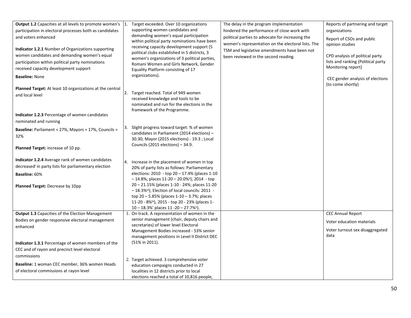| Output 1.2 Capacities at all levels to promote women's<br>participation in electoral processes both as candidates<br>and voters enhanced<br><b>Indicator 1.2.1</b> Number of Organizations supporting<br>women candidates and demanding women's equal<br>participation within political party nominations<br>received capacity development support<br><b>Baseline: None</b> | Target exceeded. Over 10 organizations<br>supporting women candidates and<br>demanding women's equal participation<br>within political party nominations have been<br>receiving capacity development support (5<br>political clubs established in 5 districts, 3<br>women's organizations of 3 political parties,<br>Romani Women and Girls Network, Gender<br>Equality Platform consisting of 17<br>organizations).                                                           | The delay in the program implementation<br>hindered the performance of close work with<br>political parties to advocate for increasing the<br>women's representation on the electoral lists. The<br>TSM and legislative amendments have been not<br>been reviewed in the second reading. | Reports of partnering and target<br>organizations<br>Report of CSOs and public<br>opinion studies<br>CPD analysis of political party<br>lists and ranking (Political party<br>Monitoring report)<br>CEC gender analysis of elections<br>(to come shortly) |
|-----------------------------------------------------------------------------------------------------------------------------------------------------------------------------------------------------------------------------------------------------------------------------------------------------------------------------------------------------------------------------|--------------------------------------------------------------------------------------------------------------------------------------------------------------------------------------------------------------------------------------------------------------------------------------------------------------------------------------------------------------------------------------------------------------------------------------------------------------------------------|------------------------------------------------------------------------------------------------------------------------------------------------------------------------------------------------------------------------------------------------------------------------------------------|-----------------------------------------------------------------------------------------------------------------------------------------------------------------------------------------------------------------------------------------------------------|
| <b>Planned Target:</b> At least 10 organizations at the central<br>and local level<br><b>Indicator 1.2.3 Percentage of women candidates</b><br>nominated and running                                                                                                                                                                                                        | 2.<br>Target reached. Total of 949 women<br>received knowledge and tools to be<br>nominated and run for the elections in the<br>framework of the Programme.                                                                                                                                                                                                                                                                                                                    |                                                                                                                                                                                                                                                                                          |                                                                                                                                                                                                                                                           |
| Baseline: Parliament = 27%, Mayors = 17%, Councils =<br>32%<br><b>Planned Target:</b> increase of 10 pp.                                                                                                                                                                                                                                                                    | Slight progress toward target: % of women<br>3.<br>candidates in Parliament (2014 elections) -<br>30.30; Mayor (2015 elections) - 19.3 ; Local<br>Councils (2015 elections) - 34.9.                                                                                                                                                                                                                                                                                            |                                                                                                                                                                                                                                                                                          |                                                                                                                                                                                                                                                           |
| <b>Indicator 1.2.4</b> Average rank of women candidates<br>decreased in party lists for parliamentary election<br>Baseline: 60%<br>Planned Target: Decrease by 10pp                                                                                                                                                                                                         | Increase in the placement of women in top<br>4.<br>20% of party lists as follows: Parliamentary<br>elections: $2010 - top 20 - 17.4\%$ (places 1-10<br>$-14.8\%$ ; places 11-20 - 20.0%ii); 2014 - top<br>20 - 21.15% (places 1-10 - 24%; places 11-20<br>- 18.3%iii); Election of local councils: 2011 -<br>top $20 - 5.85\%$ (places $1 - 10 - 3.7\%$ ; places<br>11-20 - 8%iv), 2015 - top 20 - 23% (places 1-<br>$10 - 18.3\%$ ' places $11 - 20 - 27.7\%$ <sup>v</sup> ). |                                                                                                                                                                                                                                                                                          |                                                                                                                                                                                                                                                           |
| <b>Output 1.3 Capacities of the Election Management</b><br>Bodies on gender responsive electoral management<br>enhanced<br><b>Indicator 1.3.1</b> Percentage of women members of the<br>CEC and of rayon and precinct level electoral<br>commissions<br>Baseline: 1 woman CEC member, 36% women Heads<br>of electoral commissions at rayon level                            | 1. On track. A representation of women in the<br>senior management (chair, deputy chairs and<br>secretaries) of lower level Electoral<br>Management Bodies increased - 53% senior<br>management positions in Level II District DEC<br>(51% in 2011).<br>2. Target achieved. 3 comprehensive voter<br>education campaigns conducted in 27<br>localities in 12 districts prior to local<br>elections reached a total of 10,816 people,                                           |                                                                                                                                                                                                                                                                                          | <b>CEC Annual Report</b><br>Voter education materials<br>Voter turnout sex disaggregated<br>data                                                                                                                                                          |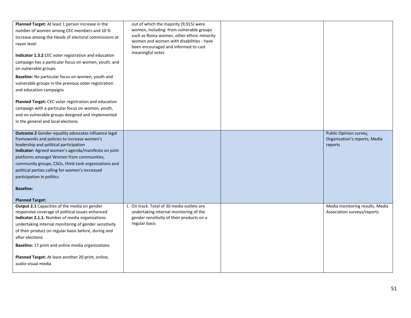| Planned Target: At least 1 person increase in the<br>number of women among CEC members and 10 %<br>increase among the Heads of electoral commissions at<br>rayon level<br>Indicator 1.3.2 CEC voter registration and education<br>campaign has a particular focus on women, youth, and<br>on vulnerable groups<br>Baseline: No particular focus on women, youth and<br>vulnerable groups in the previous voter registration<br>and education campaigns | out of which the majority (9,915) were<br>women, including from vulnerable groups<br>such as Roma women, other ethnic minority<br>women and women with disabilities - have<br>been encouraged and informed to cast<br>meaningful votes |                                                                    |
|--------------------------------------------------------------------------------------------------------------------------------------------------------------------------------------------------------------------------------------------------------------------------------------------------------------------------------------------------------------------------------------------------------------------------------------------------------|----------------------------------------------------------------------------------------------------------------------------------------------------------------------------------------------------------------------------------------|--------------------------------------------------------------------|
| Planned Target: CEC voter registration and education<br>campaign with a particular focus on women, youth,<br>and on vulnerable groups designed and implemented<br>in the general and local elections                                                                                                                                                                                                                                                   |                                                                                                                                                                                                                                        |                                                                    |
| Outcome 2 Gender equality advocates influence legal<br>frameworks and policies to increase women's<br>leadership and political participation<br>Indicator: Agreed women's agenda/manifesto on joint<br>platforms amongst Women from communities,<br>community groups, CSOs, think tank organizations and<br>political parties calling for women's increased<br>participation in politics<br><b>Baseline:</b><br><b>Planned Target:</b>                 |                                                                                                                                                                                                                                        | Public Opinion survey,<br>Organization's reports, Media<br>reports |
| Output 2.1 Capacities of the media on gender<br>responsive coverage of political issues enhanced<br><b>Indicator 2.1.1.</b> Number of media organizations<br>undertaking internal monitoring of gender sensitivity<br>of their product on regular basis before, during and<br>after elections<br><b>Baseline:</b> 17 print and online media organizations<br>Planned Target: At least another 20 print, online,<br>audio-visual media                  | 1. On track. Total of 30 media outlets are<br>undertaking internal monitoring of the<br>gender sensitivity of their products on a<br>regular basis                                                                                     | Media monitoring results, Media<br>Association surveys/reports     |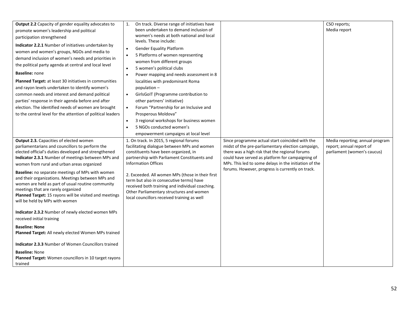| Output 2.2 Capacity of gender equality advocates to<br>promote women's leadership and political<br>participation strengthened<br>Indicator 2.2.1 Number of initiatives undertaken by<br>women and women's groups, NGOs and media to<br>demand inclusion of women's needs and priorities in<br>the political party agenda at central and local level<br><b>Baseline: none</b><br><b>Planned Target:</b> at least 30 initiatives in communities<br>and rayon levels undertaken to identify women's<br>common needs and interest and demand political<br>parties' response in their agenda before and after<br>election. The identified needs of women are brought<br>to the central level for the attention of political leaders<br>Output 2.3. Capacities of elected women | 1.<br>On track. Diverse range of initiatives have<br>been undertaken to demand inclusion of<br>women's needs at both national and local<br>levels. These include:<br><b>Gender Equality Platform</b><br>$\bullet$<br>5 Platforms of women representing<br>$\bullet$<br>women from different groups<br>5 women's political clubs<br>$\bullet$<br>Power mapping and needs assessment in 8<br>$\bullet$<br>localities with predominant Roma<br>population $-$<br>GirlsGoIT (Programme contribution to<br>$\bullet$<br>other partners' initiative)<br>Forum "Partnership for an Inclusive and<br>$\bullet$<br>Prosperous Moldova"<br>3 regional workshops for business women<br>$\bullet$<br>5 NGOs conducted women's<br>$\bullet$<br>empowerment campaigns at local level<br>1. On track. In 2015, 5 regional forums | Since programme actual start coincided with the                                                                                                                                                                                                                      | CSO reports;<br>Media report<br>Media reporting; annual program |
|---------------------------------------------------------------------------------------------------------------------------------------------------------------------------------------------------------------------------------------------------------------------------------------------------------------------------------------------------------------------------------------------------------------------------------------------------------------------------------------------------------------------------------------------------------------------------------------------------------------------------------------------------------------------------------------------------------------------------------------------------------------------------|-------------------------------------------------------------------------------------------------------------------------------------------------------------------------------------------------------------------------------------------------------------------------------------------------------------------------------------------------------------------------------------------------------------------------------------------------------------------------------------------------------------------------------------------------------------------------------------------------------------------------------------------------------------------------------------------------------------------------------------------------------------------------------------------------------------------|----------------------------------------------------------------------------------------------------------------------------------------------------------------------------------------------------------------------------------------------------------------------|-----------------------------------------------------------------|
| parliamentarians and councillors to perform the<br>elected official's duties developed and strengthened<br>Indicator 2.3.1 Number of meetings between MPs and<br>women from rural and urban areas organized                                                                                                                                                                                                                                                                                                                                                                                                                                                                                                                                                               | facilitating dialogue between MPs and women<br>constituents have been organized, in<br>partnership with Parliament Constituents and<br><b>Information Offices</b>                                                                                                                                                                                                                                                                                                                                                                                                                                                                                                                                                                                                                                                 | midst of the pre-parliamentary election campaign,<br>there was a high risk that the regional forums<br>could have served as platform for campaigning of<br>MPs. This led to some delays in the initiation of the<br>forums. However, progress is currently on track. | report; annual report of<br>parliament (women's caucus)         |
| <b>Baseline:</b> no separate meetings of MPs with women<br>and their organizations. Meetings between MPs and<br>women are held as part of usual routine community<br>meetings that are rarely organized<br>Planned Target: 15 rayons will be visited and meetings<br>will be held by MPs with women                                                                                                                                                                                                                                                                                                                                                                                                                                                                       | 2. Exceeded. All women MPs (those in their first<br>term but also in consecutive terms) have<br>received both training and individual coaching.<br>Other Parliamentary structures and women<br>local councillors received training as well                                                                                                                                                                                                                                                                                                                                                                                                                                                                                                                                                                        |                                                                                                                                                                                                                                                                      |                                                                 |
| <b>Indicator 2.3.2</b> Number of newly elected women MPs<br>received initial training                                                                                                                                                                                                                                                                                                                                                                                                                                                                                                                                                                                                                                                                                     |                                                                                                                                                                                                                                                                                                                                                                                                                                                                                                                                                                                                                                                                                                                                                                                                                   |                                                                                                                                                                                                                                                                      |                                                                 |
| <b>Baseline: None</b><br>Planned Target: All newly elected Women MPs trained                                                                                                                                                                                                                                                                                                                                                                                                                                                                                                                                                                                                                                                                                              |                                                                                                                                                                                                                                                                                                                                                                                                                                                                                                                                                                                                                                                                                                                                                                                                                   |                                                                                                                                                                                                                                                                      |                                                                 |
| <b>Indicator 2.3.3 Number of Women Councillors trained</b>                                                                                                                                                                                                                                                                                                                                                                                                                                                                                                                                                                                                                                                                                                                |                                                                                                                                                                                                                                                                                                                                                                                                                                                                                                                                                                                                                                                                                                                                                                                                                   |                                                                                                                                                                                                                                                                      |                                                                 |
| <b>Baseline: None</b><br>Planned Target: Women councillors in 10 target rayons<br>trained                                                                                                                                                                                                                                                                                                                                                                                                                                                                                                                                                                                                                                                                                 |                                                                                                                                                                                                                                                                                                                                                                                                                                                                                                                                                                                                                                                                                                                                                                                                                   |                                                                                                                                                                                                                                                                      |                                                                 |